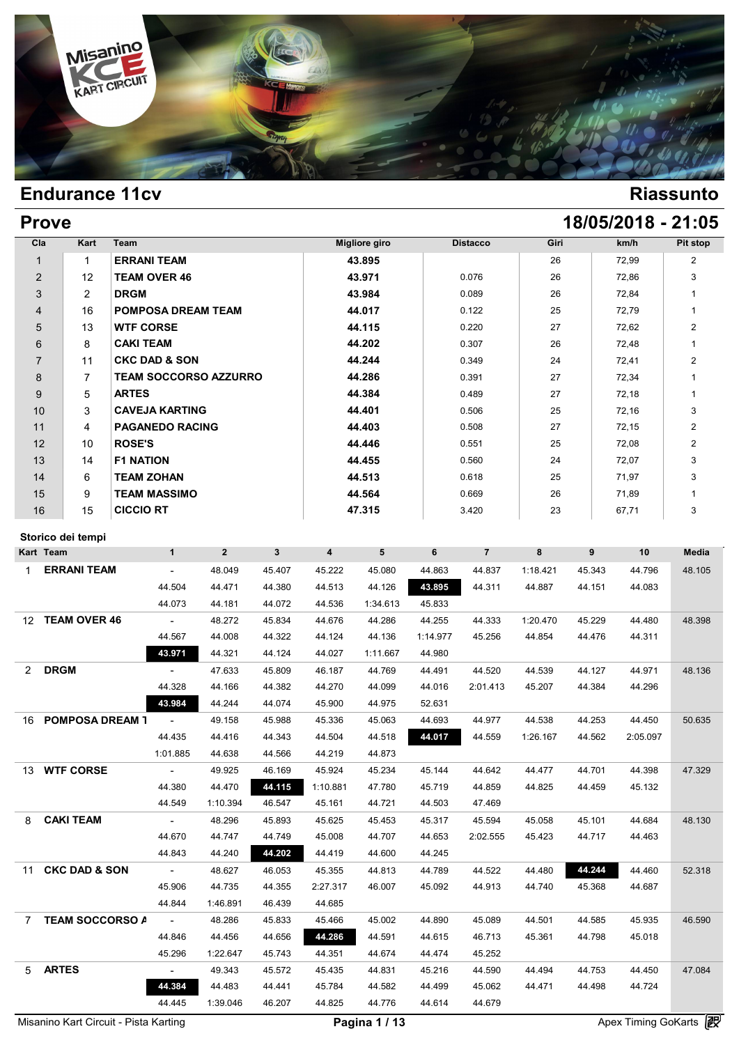

# **Prove 18/05/2018 - 21:05**

| Cla            | Kart           | Team                         | <b>Migliore giro</b> | <b>Distacco</b> | Giri | km/h  | Pit stop       |
|----------------|----------------|------------------------------|----------------------|-----------------|------|-------|----------------|
| $\mathbf 1$    | 1              | <b>ERRANI TEAM</b>           | 43.895               |                 | 26   | 72,99 | $\overline{2}$ |
| $\overline{2}$ | 12             | <b>TEAM OVER 46</b>          | 43.971               | 0.076           | 26   | 72,86 | 3              |
| 3              | $\overline{2}$ | <b>DRGM</b>                  | 43.984               | 0.089           | 26   | 72,84 |                |
| $\overline{4}$ | 16             | <b>POMPOSA DREAM TEAM</b>    | 44.017               | 0.122           | 25   | 72,79 |                |
| 5              | 13             | <b>WTF CORSE</b>             | 44.115               | 0.220           | 27   | 72,62 | $\overline{2}$ |
| 6              | 8              | <b>CAKI TEAM</b>             | 44.202               | 0.307           | 26   | 72,48 |                |
| $\overline{7}$ | 11             | <b>CKC DAD &amp; SON</b>     | 44.244               | 0.349           | 24   | 72,41 | $\overline{2}$ |
| 8              | 7              | <b>TEAM SOCCORSO AZZURRO</b> | 44.286               | 0.391           | 27   | 72,34 | 1              |
| 9              | 5              | <b>ARTES</b>                 | 44.384               | 0.489           | 27   | 72,18 |                |
| 10             | 3              | <b>CAVEJA KARTING</b>        | 44.401               | 0.506           | 25   | 72,16 | 3              |
| 11             | $\overline{4}$ | <b>PAGANEDO RACING</b>       | 44.403               | 0.508           | 27   | 72,15 | $\overline{2}$ |
| 12             | 10             | <b>ROSE'S</b>                | 44.446               | 0.551           | 25   | 72,08 | $\overline{2}$ |
| 13             | 14             | <b>F1 NATION</b>             | 44.455               | 0.560           | 24   | 72,07 | 3              |
| 14             | 6              | <b>TEAM ZOHAN</b>            | 44.513               | 0.618           | 25   | 71,97 | 3              |
| 15             | 9              | <b>TEAM MASSIMO</b>          | 44.564               | 0.669           | 26   | 71,89 | 1              |
| 16             | 15             | <b>CICCIO RT</b>             | 47.315               | 3.420           | 23   | 67,71 | 3              |

### **Storico dei tempi**

| Storico dei tempi              |                 |                |                |                |          |          |                |          |        |          |              |
|--------------------------------|-----------------|----------------|----------------|----------------|----------|----------|----------------|----------|--------|----------|--------------|
| Kart Team                      | $\mathbf{1}$    | $\overline{2}$ | 3 <sup>1</sup> | $\overline{4}$ | 5        | 6        | $\overline{7}$ | 8        | 9      | 10       | <b>Media</b> |
| <b>ERRANI TEAM</b><br>1        | $\sim$          | 48.049         | 45.407         | 45.222         | 45.080   | 44.863   | 44.837         | 1:18.421 | 45.343 | 44.796   | 48.105       |
|                                | 44.504          | 44.471         | 44.380         | 44.513         | 44.126   | 43.895   | 44.311         | 44.887   | 44.151 | 44.083   |              |
|                                | 44.073          | 44.181         | 44.072         | 44.536         | 1:34.613 | 45.833   |                |          |        |          |              |
| 12 TEAM OVER 46                | $\sim 10$       | 48.272         | 45.834         | 44.676         | 44.286   | 44.255   | 44.333         | 1:20.470 | 45.229 | 44.480   | 48.398       |
|                                | 44.567          | 44.008         | 44.322         | 44.124         | 44.136   | 1:14.977 | 45.256         | 44.854   | 44.476 | 44.311   |              |
|                                | 43.971          | 44.321         | 44.124         | 44.027         | 1:11.667 | 44.980   |                |          |        |          |              |
| <b>DRGM</b><br>2               | $\sim$          | 47.633         | 45.809         | 46.187         | 44.769   | 44.491   | 44.520         | 44.539   | 44.127 | 44.971   | 48.136       |
|                                | 44.328          | 44.166         | 44.382         | 44.270         | 44.099   | 44.016   | 2:01.413       | 45.207   | 44.384 | 44.296   |              |
|                                | 43.984          | 44.244         | 44.074         | 45.900         | 44.975   | 52.631   |                |          |        |          |              |
| <b>POMPOSA DREAM T</b><br>16   | $\sim$          | 49.158         | 45.988         | 45.336         | 45.063   | 44.693   | 44.977         | 44.538   | 44.253 | 44.450   | 50.635       |
|                                | 44.435          | 44.416         | 44.343         | 44.504         | 44.518   | 44.017   | 44.559         | 1:26.167 | 44.562 | 2:05.097 |              |
|                                | 1:01.885        | 44.638         | 44.566         | 44.219         | 44.873   |          |                |          |        |          |              |
| 13 WTF CORSE                   | $\sim$          | 49.925         | 46.169         | 45.924         | 45.234   | 45.144   | 44.642         | 44.477   | 44.701 | 44.398   | 47.329       |
|                                | 44.380          | 44.470         | 44.115         | 1:10.881       | 47.780   | 45.719   | 44.859         | 44.825   | 44.459 | 45.132   |              |
|                                | 44.549          | 1:10.394       | 46.547         | 45.161         | 44.721   | 44.503   | 47.469         |          |        |          |              |
| <b>CAKI TEAM</b><br>8          | $\sim$          | 48.296         | 45.893         | 45.625         | 45.453   | 45.317   | 45.594         | 45.058   | 45.101 | 44.684   | 48.130       |
|                                | 44.670          | 44.747         | 44.749         | 45.008         | 44.707   | 44.653   | 2:02.555       | 45.423   | 44.717 | 44.463   |              |
|                                | 44.843          | 44.240         | 44.202         | 44.419         | 44.600   | 44.245   |                |          |        |          |              |
| <b>CKC DAD &amp; SON</b><br>11 | $\sim 10^{-10}$ | 48.627         | 46.053         | 45.355         | 44.813   | 44.789   | 44.522         | 44.480   | 44.244 | 44.460   | 52.318       |
|                                | 45.906          | 44.735         | 44.355         | 2:27.317       | 46.007   | 45.092   | 44.913         | 44.740   | 45.368 | 44.687   |              |
|                                | 44.844          | 1:46.891       | 46.439         | 44.685         |          |          |                |          |        |          |              |
| <b>TEAM SOCCORSO A</b><br>7    | $\sim 100$      | 48.286         | 45.833         | 45.466         | 45.002   | 44.890   | 45.089         | 44.501   | 44.585 | 45.935   | 46.590       |
|                                | 44.846          | 44.456         | 44.656         | 44.286         | 44.591   | 44.615   | 46.713         | 45.361   | 44.798 | 45.018   |              |
|                                | 45.296          | 1:22.647       | 45.743         | 44.351         | 44.674   | 44.474   | 45.252         |          |        |          |              |
| <b>ARTES</b><br>5 <sup>5</sup> | $\sim$          | 49.343         | 45.572         | 45.435         | 44.831   | 45.216   | 44.590         | 44.494   | 44.753 | 44.450   | 47.084       |
|                                | 44.384          | 44.483         | 44.441         | 45.784         | 44.582   | 44.499   | 45.062         | 44.471   | 44.498 | 44.724   |              |
|                                | 44.445          | 1:39.046       | 46.207         | 44.825         | 44.776   | 44.614   | 44.679         |          |        |          |              |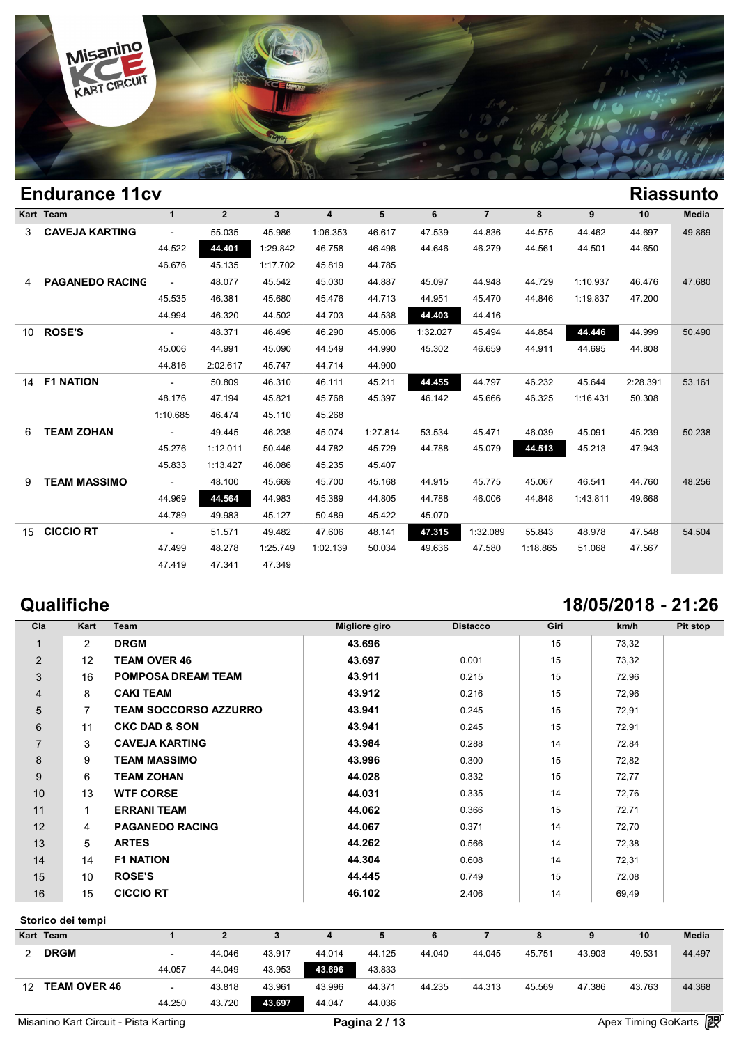

|    | Eliuuralice Ticy       |          |                |              |                |          |          |                |          |          |          | NIASSUIILU |
|----|------------------------|----------|----------------|--------------|----------------|----------|----------|----------------|----------|----------|----------|------------|
|    | Kart Team              | 1        | $\overline{2}$ | $\mathbf{3}$ | $\overline{4}$ | 5        | 6        | $\overline{7}$ | 8        | 9        | 10       | Media      |
|    | 3 CAVEJA KARTING       | $ \,$    | 55.035         | 45.986       | 1:06.353       | 46.617   | 47.539   | 44.836         | 44.575   | 44.462   | 44.697   | 49.869     |
|    |                        | 44.522   | 44.401         | 1:29.842     | 46.758         | 46.498   | 44.646   | 46.279         | 44.561   | 44.501   | 44.650   |            |
|    |                        | 46.676   | 45.135         | 1:17.702     | 45.819         | 44.785   |          |                |          |          |          |            |
| 4  | <b>PAGANEDO RACING</b> | $\sim$   | 48.077         | 45.542       | 45.030         | 44.887   | 45.097   | 44.948         | 44.729   | 1:10.937 | 46.476   | 47.680     |
|    |                        | 45.535   | 46.381         | 45.680       | 45.476         | 44.713   | 44.951   | 45.470         | 44.846   | 1:19.837 | 47.200   |            |
|    |                        | 44.994   | 46.320         | 44.502       | 44.703         | 44.538   | 44.403   | 44.416         |          |          |          |            |
| 10 | <b>ROSE'S</b>          | $\sim$   | 48.371         | 46.496       | 46.290         | 45.006   | 1:32.027 | 45.494         | 44.854   | 44.446   | 44.999   | 50.490     |
|    |                        | 45.006   | 44.991         | 45.090       | 44.549         | 44.990   | 45.302   | 46.659         | 44.911   | 44.695   | 44.808   |            |
|    |                        | 44.816   | 2:02.617       | 45.747       | 44.714         | 44.900   |          |                |          |          |          |            |
|    | 14 F1 NATION           | $\sim$   | 50.809         | 46.310       | 46.111         | 45.211   | 44.455   | 44.797         | 46.232   | 45.644   | 2:28.391 | 53.161     |
|    |                        | 48.176   | 47.194         | 45.821       | 45.768         | 45.397   | 46.142   | 45.666         | 46.325   | 1:16.431 | 50.308   |            |
|    |                        | 1:10.685 | 46.474         | 45.110       | 45.268         |          |          |                |          |          |          |            |
| 6  | <b>TEAM ZOHAN</b>      | $\sim$   | 49.445         | 46.238       | 45.074         | 1:27.814 | 53.534   | 45.471         | 46.039   | 45.091   | 45.239   | 50.238     |
|    |                        | 45.276   | 1:12.011       | 50.446       | 44.782         | 45.729   | 44.788   | 45.079         | 44.513   | 45.213   | 47.943   |            |
|    |                        | 45.833   | 1:13.427       | 46.086       | 45.235         | 45.407   |          |                |          |          |          |            |
| 9  | <b>TEAM MASSIMO</b>    | $\sim$   | 48.100         | 45.669       | 45.700         | 45.168   | 44.915   | 45.775         | 45.067   | 46.541   | 44.760   | 48.256     |
|    |                        | 44.969   | 44.564         | 44.983       | 45.389         | 44.805   | 44.788   | 46.006         | 44.848   | 1:43.811 | 49.668   |            |
|    |                        | 44.789   | 49.983         | 45.127       | 50.489         | 45.422   | 45.070   |                |          |          |          |            |
| 15 | <b>CICCIO RT</b>       | $\sim$   | 51.571         | 49.482       | 47.606         | 48.141   | 47.315   | 1:32.089       | 55.843   | 48.978   | 47.548   | 54.504     |
|    |                        | 47.499   | 48.278         | 1:25.749     | 1:02.139       | 50.034   | 49.636   | 47.580         | 1:18.865 | 51.068   | 47.567   |            |
|    |                        | 47.419   | 47.341         | 47.349       |                |          |          |                |          |          |          |            |
|    |                        |          |                |              |                |          |          |                |          |          |          |            |

|                | Qualifiche     |                              |                      |                 |      | 18/05/2018 - 21:26 |          |
|----------------|----------------|------------------------------|----------------------|-----------------|------|--------------------|----------|
| Cla            | Kart           | <b>Team</b>                  | <b>Migliore giro</b> | <b>Distacco</b> | Giri | km/h               | Pit stop |
|                | $\overline{2}$ | <b>DRGM</b>                  | 43.696               |                 | 15   | 73,32              |          |
| 2              | 12             | <b>TEAM OVER 46</b>          | 43.697               | 0.001           | 15   | 73,32              |          |
| 3              | 16             | <b>POMPOSA DREAM TEAM</b>    | 43.911               | 0.215           | 15   | 72,96              |          |
| $\overline{4}$ | 8              | <b>CAKI TEAM</b>             | 43.912               | 0.216           | 15   | 72,96              |          |
| 5              | $\overline{7}$ | <b>TEAM SOCCORSO AZZURRO</b> | 43.941               | 0.245           | 15   | 72,91              |          |
| 6              | 11             | <b>CKC DAD &amp; SON</b>     | 43.941               | 0.245           | 15   | 72,91              |          |
| $\overline{7}$ | 3              | <b>CAVEJA KARTING</b>        | 43.984               | 0.288           | 14   | 72,84              |          |
| 8              | 9              | <b>TEAM MASSIMO</b>          | 43.996               | 0.300           | 15   | 72,82              |          |
| 9              | 6              | <b>TEAM ZOHAN</b>            | 44.028               | 0.332           | 15   | 72,77              |          |
| 10             | 13             | <b>WTF CORSE</b>             | 44.031               | 0.335           | 14   | 72,76              |          |
| 11             |                | <b>ERRANI TEAM</b>           | 44.062               | 0.366           | 15   | 72,71              |          |
| 12             | 4              | <b>PAGANEDO RACING</b>       | 44.067               | 0.371           | 14   | 72,70              |          |
| 13             | 5              | <b>ARTES</b>                 | 44.262               | 0.566           | 14   | 72,38              |          |
| 14             | 14             | <b>F1 NATION</b>             | 44.304               | 0.608           | 14   | 72,31              |          |
| 15             | 10             | <b>ROSE'S</b>                | 44.445               | 0.749           | 15   | 72,08              |          |
| 16             | 15             | <b>CICCIO RT</b>             | 46.102               | 2.406           | 14   | 69,49              |          |

### **Storico dei tempi**

|                  | Storico dei tempi   |                            |        |        |        |        |        |        |        |        |        |                            |
|------------------|---------------------|----------------------------|--------|--------|--------|--------|--------|--------|--------|--------|--------|----------------------------|
|                  | Kart Team           |                            |        | 3      |        |        | 6      |        |        |        | 10     | <b>Media</b>               |
| 2                | <b>DRGM</b>         | $\overline{\phantom{0}}$   | 44.046 | 43.917 | 44.014 | 44.125 | 44.040 | 44.045 | 45.751 | 43.903 | 49.531 | 44.497                     |
|                  |                     | 44.057                     | 44.049 | 43.953 | 43.696 | 43.833 |        |        |        |        |        |                            |
| 12 <sup>12</sup> | <b>TEAM OVER 46</b> | $\overline{\phantom{a}}$   | 43.818 | 43.961 | 43.996 | 44.371 | 44.235 | 44.313 | 45.569 | 47.386 | 43.763 | 44.368                     |
|                  |                     | 44.250                     | 43.720 | 43.697 | 44.047 | 44.036 |        |        |        |        |        |                            |
| .                | .                   | $\cdots$ $\cdots$ $\cdots$ |        |        | $\sim$ | .      |        |        |        |        | ___    | Go<br>$\sim$ $\sim$ $\sim$ |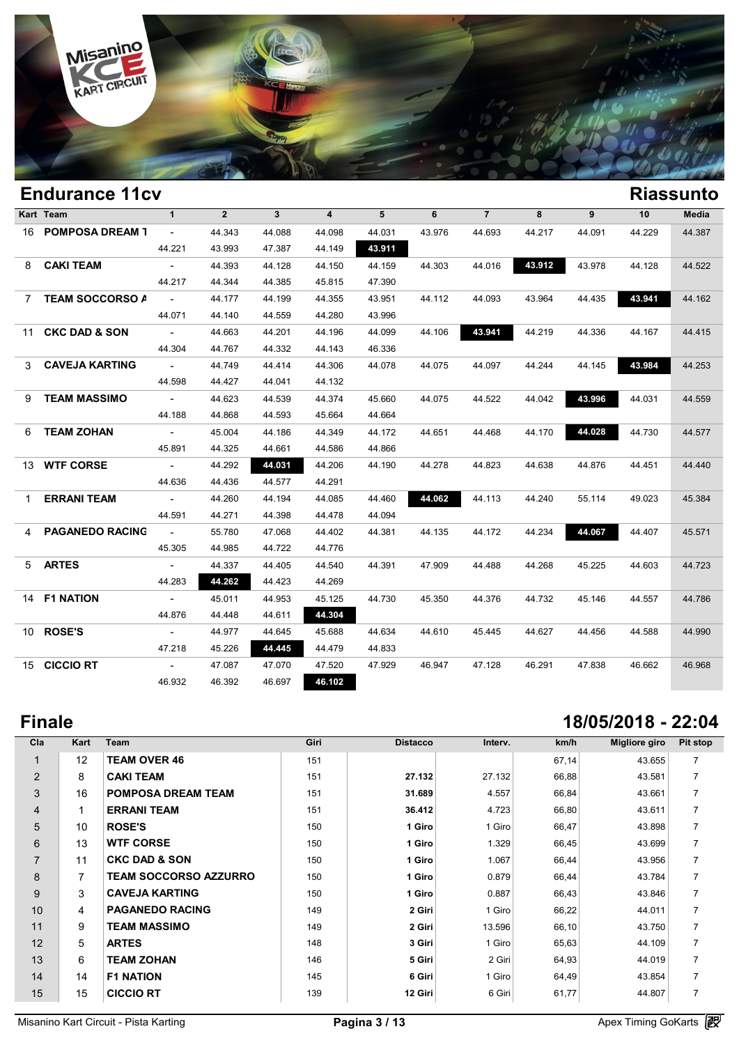

|             | <b>Endurance 11cv</b>    |                 |                |                |                         |        |        |                |        |        |        | <b>Riassunto</b> |
|-------------|--------------------------|-----------------|----------------|----------------|-------------------------|--------|--------|----------------|--------|--------|--------|------------------|
|             | Kart Team                | $\mathbf{1}$    | $\overline{2}$ | $\overline{3}$ | $\overline{\mathbf{4}}$ | 5      | 6      | $\overline{7}$ | 8      | 9      | 10     | <b>Media</b>     |
|             | 16 POMPOSA DREAM 1       | $\sim$          | 44.343         | 44.088         | 44.098                  | 44.031 | 43.976 | 44.693         | 44.217 | 44.091 | 44.229 | 44.387           |
|             |                          | 44.221          | 43.993         | 47.387         | 44.149                  | 43.911 |        |                |        |        |        |                  |
| 8           | <b>CAKI TEAM</b>         | $\sim$          | 44.393         | 44.128         | 44.150                  | 44.159 | 44.303 | 44.016         | 43.912 | 43.978 | 44.128 | 44.522           |
|             |                          | 44.217          | 44.344         | 44.385         | 45.815                  | 47.390 |        |                |        |        |        |                  |
| $7^{\circ}$ | <b>TEAM SOCCORSO A</b>   | $\sim$ $ \sim$  | 44.177         | 44.199         | 44.355                  | 43.951 | 44.112 | 44.093         | 43.964 | 44.435 | 43.941 | 44.162           |
|             |                          | 44.071          | 44.140         | 44.559         | 44.280                  | 43.996 |        |                |        |        |        |                  |
| 11          | <b>CKC DAD &amp; SON</b> | $\sim$ $ \sim$  | 44.663         | 44.201         | 44.196                  | 44.099 | 44.106 | 43.941         | 44.219 | 44.336 | 44.167 | 44.415           |
|             |                          | 44.304          | 44.767         | 44.332         | 44.143                  | 46.336 |        |                |        |        |        |                  |
| 3           | <b>CAVEJA KARTING</b>    | $\sim 100$      | 44.749         | 44.414         | 44.306                  | 44.078 | 44.075 | 44.097         | 44.244 | 44.145 | 43.984 | 44.253           |
|             |                          | 44.598          | 44.427         | 44.041         | 44.132                  |        |        |                |        |        |        |                  |
| 9           | <b>TEAM MASSIMO</b>      | $\sim$          | 44.623         | 44.539         | 44.374                  | 45.660 | 44.075 | 44.522         | 44.042 | 43.996 | 44.031 | 44.559           |
|             |                          | 44.188          | 44.868         | 44.593         | 45.664                  | 44.664 |        |                |        |        |        |                  |
| 6           | <b>TEAM ZOHAN</b>        | $\sim 10^{-10}$ | 45.004         | 44.186         | 44.349                  | 44.172 | 44.651 | 44.468         | 44.170 | 44.028 | 44.730 | 44.577           |
|             |                          | 45.891          | 44.325         | 44.661         | 44.586                  | 44.866 |        |                |        |        |        |                  |
|             | 13 WTF CORSE             | $\sim$          | 44.292         | 44.031         | 44.206                  | 44.190 | 44.278 | 44.823         | 44.638 | 44.876 | 44.451 | 44.440           |
|             |                          | 44.636          | 44.436         | 44.577         | 44.291                  |        |        |                |        |        |        |                  |
| 1           | <b>ERRANI TEAM</b>       | $\sim$ $ \sim$  | 44.260         | 44.194         | 44.085                  | 44.460 | 44.062 | 44.113         | 44.240 | 55.114 | 49.023 | 45.384           |
|             |                          | 44.591          | 44.271         | 44.398         | 44.478                  | 44.094 |        |                |        |        |        |                  |
| 4           | <b>PAGANEDO RACING</b>   | $\sim$ $-$      | 55.780         | 47.068         | 44.402                  | 44.381 | 44.135 | 44.172         | 44.234 | 44.067 | 44.407 | 45.571           |
|             |                          | 45.305          | 44.985         | 44.722         | 44.776                  |        |        |                |        |        |        |                  |
|             | 5 ARTES                  | $\sim$          | 44.337         | 44.405         | 44.540                  | 44.391 | 47.909 | 44.488         | 44.268 | 45.225 | 44.603 | 44.723           |
|             |                          | 44.283          | 44.262         | 44.423         | 44.269                  |        |        |                |        |        |        |                  |
|             | 14 F1 NATION             | $\sim$          | 45.011         | 44.953         | 45.125                  | 44.730 | 45.350 | 44.376         | 44.732 | 45.146 | 44.557 | 44.786           |
|             |                          | 44.876          | 44.448         | 44.611         | 44.304                  |        |        |                |        |        |        |                  |
|             | 10 ROSE'S                | $\sim$          | 44.977         | 44.645         | 45.688                  | 44.634 | 44.610 | 45.445         | 44.627 | 44.456 | 44.588 | 44.990           |
|             |                          | 47.218          | 45.226         | 44.445         | 44.479                  | 44.833 |        |                |        |        |        |                  |
|             | 15 CICCIO RT             | $\sim$ $ \sim$  | 47.087         | 47.070         | 47.520                  | 47.929 | 46.947 | 47.128         | 46.291 | 47.838 | 46.662 | 46.968           |
|             |                          | 46.932          | 46.392         | 46.697         | 46.102                  |        |        |                |        |        |        |                  |
|             |                          |                 |                |                |                         |        |        |                |        |        |        |                  |

# **Finale 18/05/2018 - 22:04**

| Cla            | Kart           | Team                         | Giri | <b>Distacco</b> | Interv. | km/h  | Migliore giro | Pit stop       |
|----------------|----------------|------------------------------|------|-----------------|---------|-------|---------------|----------------|
|                | 12             | <b>TEAM OVER 46</b>          | 151  |                 |         | 67,14 | 43.655        | $\overline{7}$ |
| $\overline{2}$ | 8              | <b>CAKI TEAM</b>             | 151  | 27.132          | 27.132  | 66,88 | 43.581        | $\overline{7}$ |
| 3              | 16             | <b>POMPOSA DREAM TEAM</b>    | 151  | 31.689          | 4.557   | 66,84 | 43.661        | $\overline{7}$ |
| $\overline{4}$ | 1              | <b>ERRANI TEAM</b>           | 151  | 36.412          | 4.723   | 66,80 | 43.611        | $\overline{7}$ |
| 5              | 10             | <b>ROSE'S</b>                | 150  | 1 Giro          | 1 Giro  | 66,47 | 43.898        | $\overline{7}$ |
| 6              | 13             | <b>WTF CORSE</b>             | 150  | 1 Giro          | 1.329   | 66,45 | 43.699        | $\overline{7}$ |
| $\overline{7}$ | 11             | <b>CKC DAD &amp; SON</b>     | 150  | 1 Giro          | 1.067   | 66,44 | 43.956        | $\overline{7}$ |
| 8              | $\overline{7}$ | <b>TEAM SOCCORSO AZZURRO</b> | 150  | 1 Giro          | 0.879   | 66,44 | 43.784        | $\overline{7}$ |
| 9              | 3              | <b>CAVEJA KARTING</b>        | 150  | 1 Giro          | 0.887   | 66,43 | 43.846        | $\overline{7}$ |
| 10             | 4              | <b>PAGANEDO RACING</b>       | 149  | 2 Giri          | 1 Giro  | 66,22 | 44.011        | $\overline{7}$ |
| 11             | 9              | <b>TEAM MASSIMO</b>          | 149  | 2 Giri          | 13.596  | 66,10 | 43.750        | $\overline{7}$ |
| 12             | 5              | <b>ARTES</b>                 | 148  | 3 Giri          | 1 Giro  | 65,63 | 44.109        | $\overline{7}$ |
| 13             | 6              | <b>TEAM ZOHAN</b>            | 146  | 5 Giri          | 2 Giri  | 64,93 | 44.019        | $\overline{7}$ |
| 14             | 14             | <b>F1 NATION</b>             | 145  | 6 Giri          | 1 Giro  | 64,49 | 43.854        | $\overline{7}$ |
| 15             | 15             | <b>CICCIO RT</b>             | 139  | 12 Giri         | 6 Giri  | 61,77 | 44.807        | $\overline{7}$ |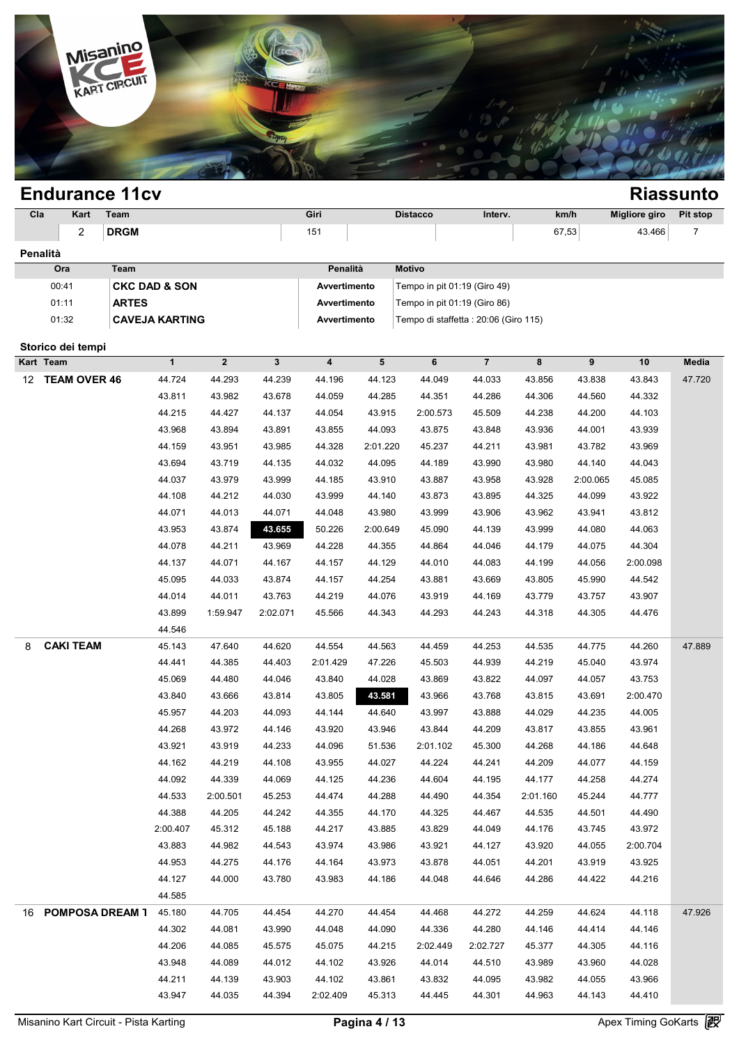

### **Endurance 11cv Riassunto Cla Kart Team Giri Distacco Interv. km/h Migliore giro Pit stop** 2 **DRGM** 151 67,53 43.466 7 **Penalità Ora Team Penalità Motivo** 00:41 **CKC DAD & SON Avvertimento** Tempo in pit 01:19 (Giro 49) 01:11 **ARTES Avvertimento** Tempo in pit 01:19 (Giro 86) 01:32 **CAVEJA KARTING Avvertimento** Tempo di staffetta : 20:06 (Giro 115) **Storico dei tempi Kart Team 1 2 3 4 5 6 7 8 9 10 Media** 12 TEAM OVER 46 44.724 44.293 44.239 44.196 44.123 44.049 44.033 43.856 43.838 43.843 47.720 1 2 3 4 5 6 7 8 9 10 Med<br>44.724 44.293 44.239 44.196 44.123 44.049 44.033 43.856 43.838 43.843 47.7<br>43.811 43.982 43.678 44.059 44.285 44.351 44.286 44.306 44.560 44.332<br>44.215 44.427 44.127 44.054 42.815 2:00.573 45.500 4 44.724 44.293 44.239 44.196 44.123 44.049 44.033 43.856 43.838 43.843 47.7<br>43.811 43.982 43.678 44.059 44.285 44.351 44.286 44.306 44.560 44.332<br>44.215 44.427 44.137 44.054 43.915 2:00.573 45.509 44.238 44.200 44.103<br>43.9 44.724 44.293 44.239 44.196 44.123 44.049 44.033 43.856 43.838 43.843 47.7<br>43.811 43.982 43.678 44.059 44.285 44.351 44.286 44.306 44.560 44.332<br>44.215 44.427 44.137 44.054 43.915 2:00.573 45.509 44.238 44.200 44.103<br>43.96 44.215 43.982 43.678 44.059 44.285 44.351 44.286 44.306 44.560 44.332<br>44.215 44.427 44.137 44.054 43.915 2:00.573 45.509 44.238 44.200 44.103<br>43.968 43.894 43.891 43.855 44.093 43.875 43.848 43.936 44.001 43.939<br>44.159 43. 44.215 44.427 44.137 44.054 43.915 2:00.573 45.509 44.238 44.200 44.103<br>43.968 43.894 43.891 43.855 44.093 43.875 43.848 43.936 44.001 43.939<br>44.159 43.951 43.985 44.328 2:01.220 45.237 44.211 43.981 43.782 43.969<br>43.694 4 43.968 43.894 43.891 43.855 44.093 43.875 43.848 43.936 44.001 43.939<br>44.159 43.951 43.985 44.328 2:01.220 45.237 44.211 43.981 43.782 43.969<br>43.694 43.719 44.135 44.032 44.095 44.189 43.990 43.980 44.140 44.043<br>44.037 43. 44.109 43.951 43.985 44.328 2:01.220 45.237 44.211 43.981 43.782 43.969<br>43.694 43.719 44.135 44.032 44.095 44.189 43.990 43.980 44.140 44.043<br>44.037 43.979 43.999 44.185 43.910 43.887 43.958 43.928 2:00.065 45.085<br>44.108 4 44.037 43.979 44.135 44.032 44.095 44.189 43.990 43.980 44.140 44.043<br>44.037 43.979 43.999 44.185 43.910 43.887 43.958 43.928 2:00.065 45.085<br>44.108 44.212 44.030 43.999 44.140 43.873 43.895 44.325 44.099 43.922<br>44.071 44.0 44.037 43.979 43.999 44.185 43.910 43.887 43.958 43.928 2:00.065 45.085<br>44.108 44.212 44.030 43.999 44.140 43.873 43.895 44.325 44.099 43.922<br>44.071 44.013 44.071 44.048 43.980 43.999 43.906 43.962 43.941 43.812<br>43.953 43. 44.108 44.212 44.030 43.999 44.140 43.873 43.895 44.325 44.099 43.922<br>44.071 44.013 44.071 44.048 43.980 43.999 43.906 43.962 43.941 43.812<br>43.953 43.874 45.655 50.226 2:00.649 45.090 44.139 43.999 44.080 44.063<br>44.078 44. 44.071 44.013 44.071 44.048 43.980 43.999 43.906 43.962 43.941 43.812<br>43.953 43.874 43.655 50.226 2:00.649 45.090 44.139 43.999 44.080 44.063<br>44.078 44.211 43.969 44.228 44.355 44.864 44.046 44.179 44.075 44.304<br>44.137 44. 43.953 43.874 43.655 50.226 2:00.649 45.090 44.139 43.999 44.080 44.063<br>44.078 44.211 43.969 44.228 44.355 44.864 44.046 44.179 44.075 44.304<br>44.137 44.071 44.167 44.157 44.129 44.010 44.083 44.199 44.056 2:00.098<br>45.095 44 44.078 44.211 43.969 44.228 44.355 44.864 44.046 44.179 44.075 44.304<br>44.137 44.071 44.167 44.157 44.129 44.010 44.083 44.199 44.056 2:00.098<br>45.095 44.033 43.874 44.157 44.254 43.881 43.669 43.805 45.990 44.542<br>44.014 44. 44.137 44.071 44.167 44.157 44.129 44.010 44.083 44.199 44.056 2:00.098<br>45.095 44.033 43.874 44.157 44.254 43.881 43.669 43.805 45.990 44.542<br>44.014 44.011 43.763 44.219 44.076 43.919 44.169 43.779 43.757 43.907<br>43.899 1:5 44.546 8 **CAKI TEAM** 45.143 47.640 44.620 44.554 44.563 44.459 44.253 44.535 44.775 44.260 47.889 44.546 11:59.947 2:02.071 45.566 44.343 44.293 44.243 44.318 44.305 44.476<br>44.546 45.143 47.640 44.620 44.554 44.563 44.459 44.253 44.535 44.775 44.260 47.8<br>44.441 44.385 44.403 2:01.429 47.226 45.503 44.939 44.219 45.040 44.546<br>45.143 47.640 44.620 44.554 44.563 44.459 44.253 44.535 44.775 44.260 47.8<br>44.441 44.385 44.403 2:01.429 47.226 45.503 44.939 44.219 45.040 43.974<br>45.069 44.480 44.046 43.840 44.028 43.869 43.822 44.097 44.057 43.75 44.441 44.385 44.403 2:01.429 47.226 45.503 44.939 44.219 45.040 43.974<br>45.069 44.480 44.046 43.840 44.028 43.869 43.822 44.097 44.057 43.753<br>43.840 43.666 43.814 43.805 45.531 43.966 43.768 43.815 43.691 2:00.470<br>45.057 4 44.441 44.385 44.403 2:01.429 47.226 45.503 44.939 44.219 45.040 43.974<br>45.069 44.480 44.046 43.840 44.028 43.869 43.822 44.097 44.057 43.753<br>43.840 43.666 43.814 43.805 **48.531** 43.966 43.768 43.815 43.691 2:00.470<br>45.957 45.069 44.480 44.046 43.840 44.028 43.869 43.822 44.097 44.057 43.753<br>43.840 43.666 43.814 43.805 48.581 43.966 43.768 43.815 43.691 2:00.470<br>45.957 44.203 44.093 44.144 44.640 43.997 43.888 44.029 44.235 44.005<br>44.268 43. 43.840 43.666 43.814 43.805 43.581 43.966 43.768 43.815 43.691 2:00.470<br>45.957 44.203 44.093 44.144 44.640 43.997 43.888 44.029 44.235 44.005<br>44.268 43.972 44.146 43.920 43.946 43.844 44.209 43.817 43.855 43.961<br>43.921 43 44.268 43.972 44.146 43.920 43.946 43.844 44.209 44.235 44.005 44.268 43.972 44.146 43.920 43.946 43.844 44.209 43.817 43.855 43.961 43.921 43.919 44.233 44.096 51.536 2:01.102 45.300 44.268 44.186 44.648 44.162 44.219 44. 44.268 43.972 44.146 43.920 43.946 43.844 44.209 43.817 43.855 43.961<br>43.921 43.919 44.233 44.096 51.536 2:01.102 45.300 44.268 44.186 44.648<br>44.162 44.219 44.108 43.955 44.027 44.224 44.241 44.209 44.077 44.159<br>44.092 44. 44.162 44.219 44.233 44.096 51.536 2:01.102 45.300 44.268 44.186 44.648<br>44.162 44.219 44.108 43.955 44.027 44.224 44.241 44.209 44.077 44.159<br>44.092 44.339 44.069 44.125 44.236 44.604 44.195 44.177 44.258 44.274<br>44.533 2:0 44.162 44.219 44.108 43.955 44.027 44.224 44.241 44.209 44.077 44.159<br>44.092 44.339 44.069 44.125 44.236 44.604 44.195 44.177 44.258 44.274<br>44.533 2:00.501 45.253 44.474 44.288 44.490 44.354 2:01.160 45.244 44.777<br>44.388 4 44.092 44.339 44.069 44.125 44.236 44.604 44.195 44.177 44.258 44.274<br>44.533 2:00.501 45.253 44.474 44.288 44.490 44.354 2:01.160 45.244 44.777<br>44.388 44.205 44.242 44.355 44.170 44.325 44.467 44.535 44.501 44.490<br>2:00.407 44.533 2:00.501 45.253 44.474 44.288 44.490 44.354 2:01.160 45.244 44.777<br>44.388 44.205 44.242 44.355 44.170 44.325 44.467 44.535 44.501 44.490<br>1:00.407 45.312 45.188 44.217 43.885 43.829 44.049 44.176 43.745 43.972<br>43.883 44.388 44.205 44.242 44.355 44.170 44.325 44.467 44.535 44.501 44.490<br>
2:00.407 45.312 45.188 44.217 43.885 43.829 44.049 44.176 43.745 43.972<br>
43.883 44.982 44.543 43.974 43.986 43.921 44.127 43.920 44.055 2:00.704<br>
44.95 44.053 44.982 44.176 43.974 43.885 43.829 44.049 44.176 43.745 43.972<br>
44.883 44.982 44.543 43.974 43.986 43.921 44.127 43.920 44.055 2:00.704<br>
44.953 44.275 44.176 44.164 43.973 43.878 44.051 44.201 43.919 43.925<br>
44.127 44.585 16 **POMPOSA DREAM 1** 45.180 44.705 44.454 44.270 44.454 44.468 44.272 44.259 44.624 44.118 47.926 44.127 44.000 43.780 43.983 44.186 44.048 44.646 44.286 44.422 44.216<br>44.585 45.180 44.705 44.454 44.270 44.454 44.468 44.272 44.259 44.624 44.118 47.9<br>44.302 44.081 43.990 44.048 44.090 44.336 44.280 44.146 44.414 44.146<br> 44.585<br>45.180 44.705 44.454 44.270 44.454 44.468 44.272 44.259 44.624 44.118 47.9.<br>44.302 44.081 43.990 44.048 44.090 44.336 44.280 44.146 44.414 44.146<br>44.206 44.085 45.575 45.075 44.215 2:02.449 2:02.727 45.377 44.305 44 44.302 44.705 44.454 44.270 44.454 44.468 44.272 44.259 44.624 44.118 47.9<br>44.302 44.081 43.990 44.048 44.090 44.336 44.280 44.146 44.414 44.146<br>44.206 44.085 45.575 45.075 44.215 2:02.449 2:02.727 45.377 44.305 44.116<br>43. 44.302 44.081 43.990 44.048 44.090 44.336 44.280 44.146 44.414 44.146<br>44.206 44.085 45.575 45.075 44.215 2:02.449 2:02.727 45.377 44.305 44.116<br>43.948 44.089 44.012 44.102 43.926 44.014 44.510 43.989 43.960 44.028<br>44.211 4 44.206 44.085 45.575 45.075 44.215 2:02.449 2:02.727 45.377 44.305 44.116<br>43.948 44.089 44.012 44.102 43.926 44.014 44.510 43.989 43.960 44.028<br>44.211 44.139 43.903 44.102 43.861 43.832 44.095 43.982 44.055 43.966<br>43.947 4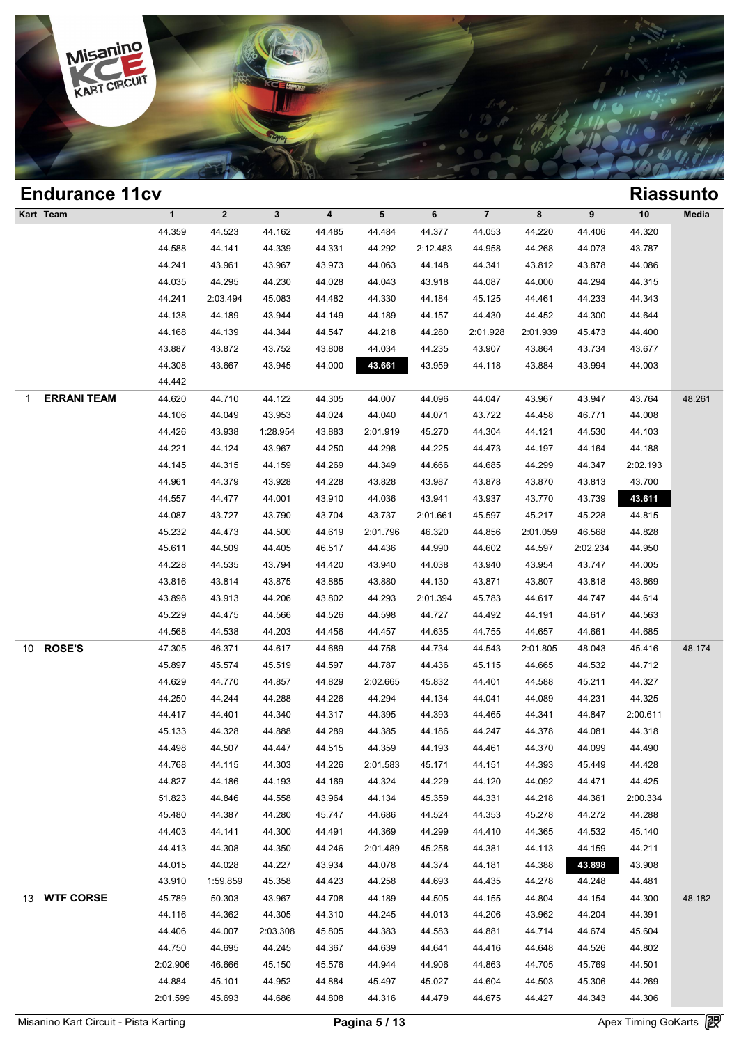

| <b>Endurance 11cv</b>   |              |                |              |        |                 |          |          |          |          |          | <b>Riassunto</b> |
|-------------------------|--------------|----------------|--------------|--------|-----------------|----------|----------|----------|----------|----------|------------------|
| Kart Team               | $\mathbf{1}$ | $\overline{2}$ | $\mathbf{3}$ | 4      | $5\phantom{.0}$ | 6        | $\bf 7$  | 8        | 9        | $10$     | Media            |
|                         | 44.359       | 44.523         | 44.162       | 44.485 | 44.484          | 44.377   | 44.053   | 44.220   | 44.406   | 44.320   |                  |
|                         | 44.588       | 44.141         | 44.339       | 44.331 | 44.292          | 2:12.483 | 44.958   | 44.268   | 44.073   | 43.787   |                  |
|                         | 44.241       | 43.961         | 43.967       | 43.973 | 44.063          | 44.148   | 44.341   | 43.812   | 43.878   | 44.086   |                  |
|                         | 44.035       | 44.295         | 44.230       | 44.028 | 44.043          | 43.918   | 44.087   | 44.000   | 44.294   | 44.315   |                  |
|                         | 44.241       | 2:03.494       | 45.083       | 44.482 | 44.330          | 44.184   | 45.125   | 44.461   | 44.233   | 44.343   |                  |
|                         | 44.138       | 44.189         | 43.944       | 44.149 | 44.189          | 44.157   | 44.430   | 44.452   | 44.300   | 44.644   |                  |
|                         | 44.168       | 44.139         | 44.344       | 44.547 | 44.218          | 44.280   | 2:01.928 | 2:01.939 | 45.473   | 44.400   |                  |
|                         | 43.887       | 43.872         | 43.752       | 43.808 | 44.034          | 44.235   | 43.907   | 43.864   | 43.734   | 43.677   |                  |
|                         | 44.308       | 43.667         | 43.945       | 44.000 | 43.661          | 43.959   | 44.118   | 43.884   | 43.994   | 44.003   |                  |
|                         | 44.442       |                |              |        |                 |          |          |          |          |          |                  |
| <b>ERRANI TEAM</b><br>1 | 44.620       | 44.710         | 44.122       | 44.305 | 44.007          | 44.096   | 44.047   | 43.967   | 43.947   | 43.764   | 48.261           |
|                         | 44.106       | 44.049         | 43.953       | 44.024 | 44.040          | 44.071   | 43.722   | 44.458   | 46.771   | 44.008   |                  |
|                         | 44.426       | 43.938         | 1:28.954     | 43.883 | 2:01.919        | 45.270   | 44.304   | 44.121   | 44.530   | 44.103   |                  |
|                         | 44.221       | 44.124         | 43.967       | 44.250 | 44.298          | 44.225   | 44.473   | 44.197   | 44.164   | 44.188   |                  |
|                         | 44.145       | 44.315         | 44.159       | 44.269 | 44.349          | 44.666   | 44.685   | 44.299   | 44.347   | 2:02.193 |                  |
|                         | 44.961       | 44.379         | 43.928       | 44.228 | 43.828          | 43.987   | 43.878   | 43.870   | 43.813   | 43.700   |                  |
|                         | 44.557       | 44.477         | 44.001       | 43.910 | 44.036          | 43.941   | 43.937   | 43.770   | 43.739   | 43.611   |                  |
|                         | 44.087       | 43.727         | 43.790       | 43.704 | 43.737          | 2:01.661 | 45.597   | 45.217   | 45.228   | 44.815   |                  |
|                         | 45.232       | 44.473         | 44.500       | 44.619 | 2:01.796        | 46.320   | 44.856   | 2:01.059 | 46.568   | 44.828   |                  |
|                         | 45.611       | 44.509         | 44.405       | 46.517 | 44.436          | 44.990   | 44.602   | 44.597   | 2:02.234 | 44.950   |                  |
|                         | 44.228       | 44.535         | 43.794       | 44.420 | 43.940          | 44.038   | 43.940   | 43.954   | 43.747   | 44.005   |                  |
|                         | 43.816       | 43.814         | 43.875       | 43.885 | 43.880          | 44.130   | 43.871   | 43.807   | 43.818   | 43.869   |                  |
|                         | 43.898       | 43.913         | 44.206       | 43.802 | 44.293          | 2:01.394 | 45.783   | 44.617   | 44.747   | 44.614   |                  |
|                         | 45.229       | 44.475         | 44.566       | 44.526 | 44.598          | 44.727   | 44.492   | 44.191   | 44.617   | 44.563   |                  |
|                         | 44.568       | 44.538         | 44.203       | 44.456 | 44.457          | 44.635   | 44.755   | 44.657   | 44.661   | 44.685   |                  |
| <b>ROSE'S</b><br>10     | 47.305       | 46.371         | 44.617       | 44.689 | 44.758          | 44.734   | 44.543   | 2:01.805 | 48.043   | 45.416   | 48.174           |
|                         | 45.897       | 45.574         | 45.519       | 44.597 | 44.787          | 44.436   | 45.115   | 44.665   | 44.532   | 44.712   |                  |
|                         | 44.629       | 44.770         | 44.857       | 44.829 | 2:02.665        | 45.832   | 44.401   | 44.588   | 45.211   | 44.327   |                  |
|                         | 44.250       | 44.244         | 44.288       | 44.226 | 44.294          | 44.134   | 44.041   | 44.089   | 44.231   | 44.325   |                  |
|                         | 44.417       | 44.401         | 44.340       | 44.317 | 44.395          | 44.393   | 44.465   | 44.341   | 44.847   | 2:00.611 |                  |
|                         | 45.133       | 44.328         | 44.888       | 44.289 | 44.385          | 44.186   | 44.247   | 44.378   | 44.081   | 44.318   |                  |
|                         | 44.498       | 44.507         | 44.447       | 44.515 | 44.359          | 44.193   | 44.461   | 44.370   | 44.099   | 44.490   |                  |
|                         | 44.768       | 44.115         | 44.303       | 44.226 | 2:01.583        | 45.171   | 44.151   | 44.393   | 45.449   | 44.428   |                  |
|                         | 44.827       | 44.186         | 44.193       | 44.169 | 44.324          | 44.229   | 44.120   | 44.092   | 44.471   | 44.425   |                  |
|                         | 51.823       | 44.846         | 44.558       | 43.964 | 44.134          | 45.359   | 44.331   | 44.218   | 44.361   | 2:00.334 |                  |
|                         | 45.480       | 44.387         | 44.280       | 45.747 | 44.686          | 44.524   | 44.353   | 45.278   | 44.272   | 44.288   |                  |
|                         | 44.403       | 44.141         | 44.300       | 44.491 | 44.369          | 44.299   | 44.410   | 44.365   | 44.532   | 45.140   |                  |
|                         | 44.413       | 44.308         | 44.350       | 44.246 | 2:01.489        | 45.258   | 44.381   | 44.113   | 44.159   | 44.211   |                  |
|                         | 44.015       | 44.028         | 44.227       | 43.934 | 44.078          | 44.374   | 44.181   | 44.388   | 43.898   | 43.908   |                  |
|                         | 43.910       | 1:59.859       | 45.358       | 44.423 | 44.258          | 44.693   | 44.435   | 44.278   | 44.248   | 44.481   |                  |
| 13 WTF CORSE            | 45.789       | 50.303         | 43.967       | 44.708 | 44.189          | 44.505   | 44.155   | 44.804   | 44.154   | 44.300   | 48.182           |
|                         | 44.116       | 44.362         | 44.305       | 44.310 | 44.245          | 44.013   | 44.206   | 43.962   | 44.204   | 44.391   |                  |
|                         | 44.406       | 44.007         | 2:03.308     | 45.805 | 44.383          | 44.583   | 44.881   | 44.714   | 44.674   | 45.604   |                  |
|                         | 44.750       | 44.695         | 44.245       | 44.367 | 44.639          | 44.641   | 44.416   | 44.648   | 44.526   | 44.802   |                  |
|                         | 2:02.906     | 46.666         | 45.150       | 45.576 | 44.944          | 44.906   | 44.863   | 44.705   | 45.769   | 44.501   |                  |
|                         | 44.884       | 45.101         | 44.952       | 44.884 | 45.497          | 45.027   | 44.604   | 44.503   | 45.306   | 44.269   |                  |
|                         | 2:01.599     | 45.693         | 44.686       | 44.808 | 44.316          | 44.479   | 44.675   | 44.427   | 44.343   | 44.306   |                  |
|                         |              |                |              |        |                 |          |          |          |          |          |                  |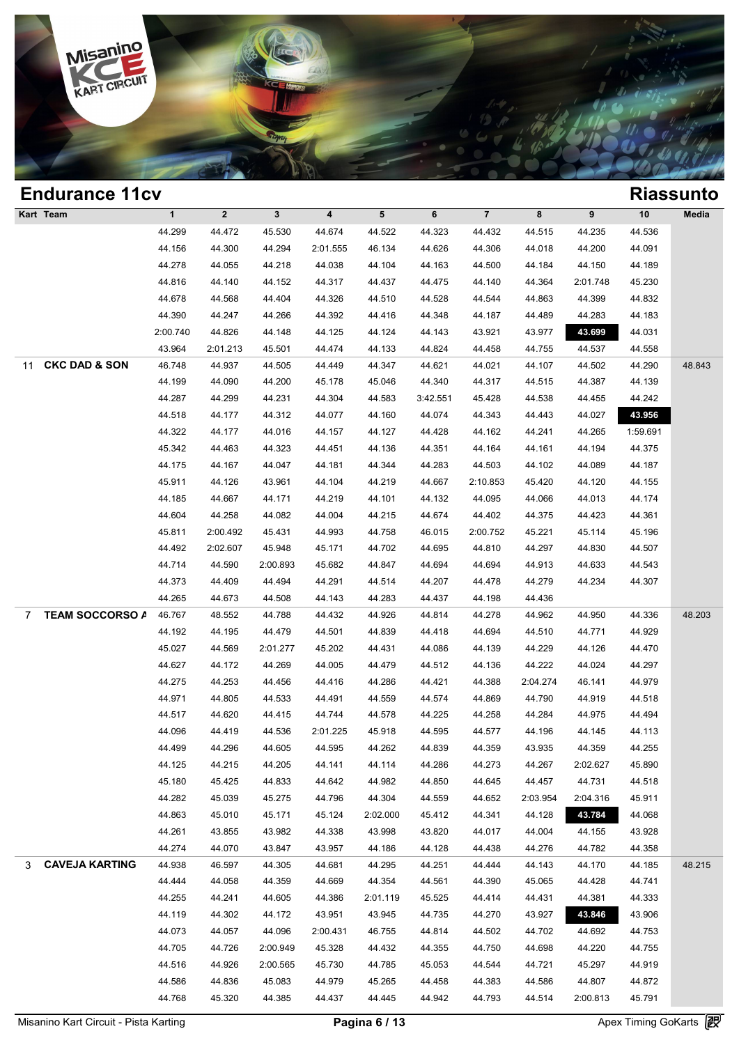

|           | <b>Endurance 11cv</b>    |              |              |              |          |                 |          |                         |          |          |          | <b>Riassunto</b> |
|-----------|--------------------------|--------------|--------------|--------------|----------|-----------------|----------|-------------------------|----------|----------|----------|------------------|
| Kart Team |                          | $\mathbf{1}$ | $\mathbf{2}$ | $\mathbf{3}$ | 4        | $5\phantom{.0}$ | 6        | $\overline{\mathbf{7}}$ | 8        | 9        | 10       | Media            |
|           |                          | 44.299       | 44.472       | 45.530       | 44.674   | 44.522          | 44.323   | 44.432                  | 44.515   | 44.235   | 44.536   |                  |
|           |                          | 44.156       | 44.300       | 44.294       | 2:01.555 | 46.134          | 44.626   | 44.306                  | 44.018   | 44.200   | 44.091   |                  |
|           |                          | 44.278       | 44.055       | 44.218       | 44.038   | 44.104          | 44.163   | 44.500                  | 44.184   | 44.150   | 44.189   |                  |
|           |                          | 44.816       | 44.140       | 44.152       | 44.317   | 44.437          | 44.475   | 44.140                  | 44.364   | 2:01.748 | 45.230   |                  |
|           |                          | 44.678       | 44.568       | 44.404       | 44.326   | 44.510          | 44.528   | 44.544                  | 44.863   | 44.399   | 44.832   |                  |
|           |                          | 44.390       | 44.247       | 44.266       | 44.392   | 44.416          | 44.348   | 44.187                  | 44.489   | 44.283   | 44.183   |                  |
|           |                          | 2:00.740     | 44.826       | 44.148       | 44.125   | 44.124          | 44.143   | 43.921                  | 43.977   | 43.699   | 44.031   |                  |
|           |                          | 43.964       | 2:01.213     | 45.501       | 44.474   | 44.133          | 44.824   | 44.458                  | 44.755   | 44.537   | 44.558   |                  |
| 11        | <b>CKC DAD &amp; SON</b> | 46.748       | 44.937       | 44.505       | 44.449   | 44.347          | 44.621   | 44.021                  | 44.107   | 44.502   | 44.290   | 48.843           |
|           |                          | 44.199       | 44.090       | 44.200       | 45.178   | 45.046          | 44.340   | 44.317                  | 44.515   | 44.387   | 44.139   |                  |
|           |                          | 44.287       | 44.299       | 44.231       | 44.304   | 44.583          | 3:42.551 | 45.428                  | 44.538   | 44.455   | 44.242   |                  |
|           |                          | 44.518       | 44.177       | 44.312       | 44.077   | 44.160          | 44.074   | 44.343                  | 44.443   | 44.027   | 43.956   |                  |
|           |                          | 44.322       | 44.177       | 44.016       | 44.157   | 44.127          | 44.428   | 44.162                  | 44.241   | 44.265   | 1:59.691 |                  |
|           |                          | 45.342       | 44.463       | 44.323       | 44.451   | 44.136          | 44.351   | 44.164                  | 44.161   | 44.194   | 44.375   |                  |
|           |                          | 44.175       | 44.167       | 44.047       | 44.181   | 44.344          | 44.283   | 44.503                  | 44.102   | 44.089   | 44.187   |                  |
|           |                          | 45.911       | 44.126       | 43.961       | 44.104   | 44.219          | 44.667   | 2:10.853                | 45.420   | 44.120   | 44.155   |                  |
|           |                          | 44.185       | 44.667       | 44.171       | 44.219   | 44.101          | 44.132   | 44.095                  | 44.066   | 44.013   | 44.174   |                  |
|           |                          | 44.604       | 44.258       | 44.082       | 44.004   | 44.215          | 44.674   | 44.402                  | 44.375   | 44.423   | 44.361   |                  |
|           |                          | 45.811       | 2:00.492     | 45.431       | 44.993   | 44.758          | 46.015   | 2:00.752                | 45.221   | 45.114   | 45.196   |                  |
|           |                          | 44.492       | 2:02.607     | 45.948       | 45.171   | 44.702          | 44.695   | 44.810                  | 44.297   | 44.830   | 44.507   |                  |
|           |                          | 44.714       | 44.590       | 2:00.893     | 45.682   | 44.847          | 44.694   | 44.694                  | 44.913   | 44.633   | 44.543   |                  |
|           |                          | 44.373       | 44.409       | 44.494       | 44.291   | 44.514          | 44.207   | 44.478                  | 44.279   | 44.234   | 44.307   |                  |
|           |                          | 44.265       | 44.673       | 44.508       | 44.143   | 44.283          | 44.437   | 44.198                  | 44.436   |          |          |                  |
| 7         | <b>TEAM SOCCORSO A</b>   | 46.767       | 48.552       | 44.788       | 44.432   | 44.926          | 44.814   | 44.278                  | 44.962   | 44.950   | 44.336   | 48.203           |
|           |                          | 44.192       | 44.195       | 44.479       | 44.501   | 44.839          | 44.418   | 44.694                  | 44.510   | 44.771   | 44.929   |                  |
|           |                          | 45.027       | 44.569       | 2:01.277     | 45.202   | 44.431          | 44.086   | 44.139                  | 44.229   | 44.126   | 44.470   |                  |
|           |                          | 44.627       | 44.172       | 44.269       | 44.005   | 44.479          | 44.512   | 44.136                  | 44.222   | 44.024   | 44.297   |                  |
|           |                          | 44.275       | 44.253       | 44.456       | 44.416   | 44.286          | 44.421   | 44.388                  | 2:04.274 | 46.141   | 44.979   |                  |
|           |                          | 44.971       | 44.805       | 44.533       | 44.491   | 44.559          | 44.574   | 44.869                  | 44.790   | 44.919   | 44.518   |                  |
|           |                          | 44.517       | 44.620       | 44.415       | 44.744   | 44.578          | 44.225   | 44.258                  | 44.284   | 44.975   | 44.494   |                  |
|           |                          | 44.096       | 44.419       | 44.536       | 2:01.225 | 45.918          | 44.595   | 44.577                  | 44.196   | 44.145   | 44.113   |                  |
|           |                          | 44.499       | 44.296       | 44.605       | 44.595   | 44.262          | 44.839   | 44.359                  | 43.935   | 44.359   | 44.255   |                  |
|           |                          | 44.125       | 44.215       | 44.205       | 44.141   | 44.114          | 44.286   | 44.273                  | 44.267   | 2:02.627 | 45.890   |                  |
|           |                          | 45.180       | 45.425       | 44.833       | 44.642   | 44.982          | 44.850   | 44.645                  | 44.457   | 44.731   | 44.518   |                  |
|           |                          | 44.282       | 45.039       | 45.275       | 44.796   | 44.304          | 44.559   | 44.652                  | 2:03.954 | 2:04.316 | 45.911   |                  |
|           |                          | 44.863       | 45.010       | 45.171       | 45.124   | 2:02.000        | 45.412   | 44.341                  | 44.128   | 43.784   | 44.068   |                  |
|           |                          | 44.261       | 43.855       | 43.982       | 44.338   | 43.998          | 43.820   | 44.017                  | 44.004   | 44.155   | 43.928   |                  |
|           |                          | 44.274       | 44.070       | 43.847       | 43.957   | 44.186          | 44.128   | 44.438                  | 44.276   | 44.782   | 44.358   |                  |
| 3         | <b>CAVEJA KARTING</b>    | 44.938       | 46.597       | 44.305       | 44.681   | 44.295          | 44.251   | 44.444                  | 44.143   | 44.170   | 44.185   | 48.215           |
|           |                          | 44.444       | 44.058       | 44.359       | 44.669   | 44.354          | 44.561   | 44.390                  | 45.065   | 44.428   | 44.741   |                  |
|           |                          | 44.255       | 44.241       | 44.605       | 44.386   | 2:01.119        | 45.525   | 44.414                  | 44.431   | 44.381   | 44.333   |                  |
|           |                          | 44.119       | 44.302       | 44.172       | 43.951   | 43.945          | 44.735   | 44.270                  | 43.927   | 43.846   | 43.906   |                  |
|           |                          | 44.073       | 44.057       | 44.096       | 2:00.431 | 46.755          | 44.814   | 44.502                  | 44.702   | 44.692   | 44.753   |                  |
|           |                          | 44.705       | 44.726       | 2:00.949     | 45.328   | 44.432          | 44.355   | 44.750                  | 44.698   | 44.220   | 44.755   |                  |
|           |                          | 44.516       | 44.926       | 2:00.565     | 45.730   | 44.785          | 45.053   | 44.544                  | 44.721   | 45.297   | 44.919   |                  |
|           |                          | 44.586       | 44.836       | 45.083       | 44.979   | 45.265          | 44.458   | 44.383                  | 44.586   | 44.807   | 44.872   |                  |
|           |                          | 44.768       | 45.320       | 44.385       | 44.437   | 44.445          | 44.942   | 44.793                  | 44.514   | 2:00.813 | 45.791   |                  |
|           |                          |              |              |              |          |                 |          |                         |          |          |          |                  |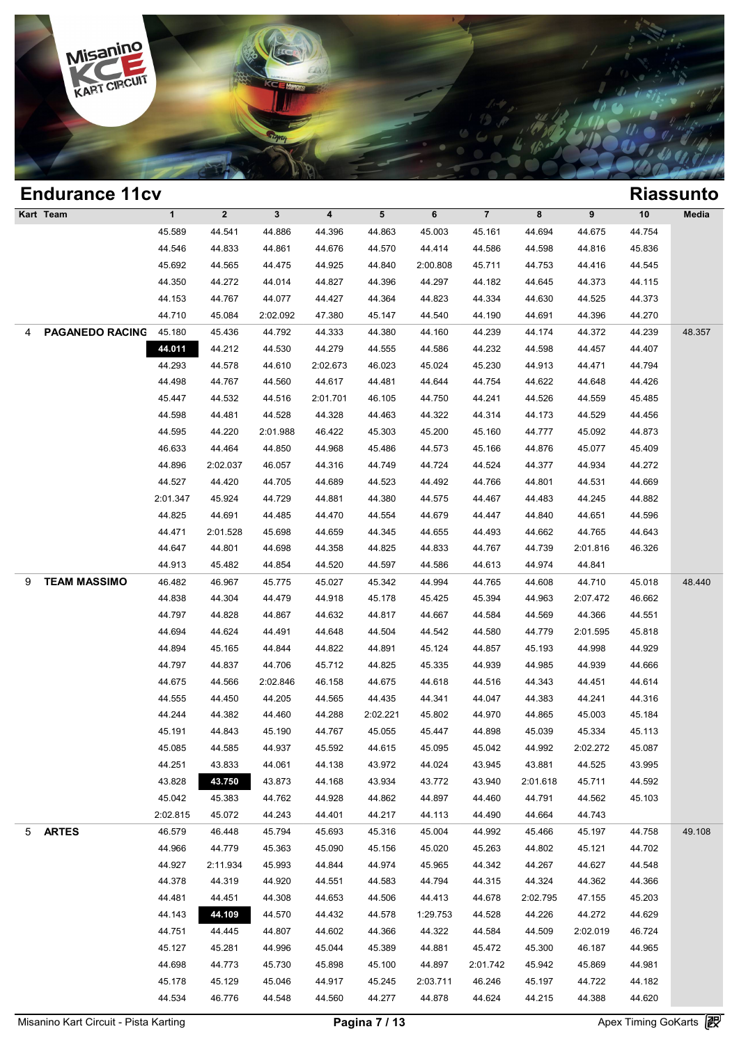

|   | <b>Endurance 11cv</b>  |              |              |              |          |          |          |                         |          |          |        | <b>Riassunto</b> |
|---|------------------------|--------------|--------------|--------------|----------|----------|----------|-------------------------|----------|----------|--------|------------------|
|   | Kart Team              | $\mathbf{1}$ | $\mathbf{2}$ | $\mathbf{3}$ | 4        | 5        | 6        | $\overline{\mathbf{7}}$ | 8        | 9        | $10$   | Media            |
|   |                        | 45.589       | 44.541       | 44.886       | 44.396   | 44.863   | 45.003   | 45.161                  | 44.694   | 44.675   | 44.754 |                  |
|   |                        | 44.546       | 44.833       | 44.861       | 44.676   | 44.570   | 44.414   | 44.586                  | 44.598   | 44.816   | 45.836 |                  |
|   |                        | 45.692       | 44.565       | 44.475       | 44.925   | 44.840   | 2:00.808 | 45.711                  | 44.753   | 44.416   | 44.545 |                  |
|   |                        | 44.350       | 44.272       | 44.014       | 44.827   | 44.396   | 44.297   | 44.182                  | 44.645   | 44.373   | 44.115 |                  |
|   |                        | 44.153       | 44.767       | 44.077       | 44.427   | 44.364   | 44.823   | 44.334                  | 44.630   | 44.525   | 44.373 |                  |
|   |                        | 44.710       | 45.084       | 2:02.092     | 47.380   | 45.147   | 44.540   | 44.190                  | 44.691   | 44.396   | 44.270 |                  |
| 4 | <b>PAGANEDO RACING</b> | 45.180       | 45.436       | 44.792       | 44.333   | 44.380   | 44.160   | 44.239                  | 44.174   | 44.372   | 44.239 | 48.357           |
|   |                        | 44.011       | 44.212       | 44.530       | 44.279   | 44.555   | 44.586   | 44.232                  | 44.598   | 44.457   | 44.407 |                  |
|   |                        | 44.293       | 44.578       | 44.610       | 2:02.673 | 46.023   | 45.024   | 45.230                  | 44.913   | 44.471   | 44.794 |                  |
|   |                        | 44.498       | 44.767       | 44.560       | 44.617   | 44.481   | 44.644   | 44.754                  | 44.622   | 44.648   | 44.426 |                  |
|   |                        | 45.447       | 44.532       | 44.516       | 2:01.701 | 46.105   | 44.750   | 44.241                  | 44.526   | 44.559   | 45.485 |                  |
|   |                        | 44.598       | 44.481       | 44.528       | 44.328   | 44.463   | 44.322   | 44.314                  | 44.173   | 44.529   | 44.456 |                  |
|   |                        | 44.595       | 44.220       | 2:01.988     | 46.422   | 45.303   | 45.200   | 45.160                  | 44.777   | 45.092   | 44.873 |                  |
|   |                        | 46.633       | 44.464       | 44.850       | 44.968   | 45.486   | 44.573   | 45.166                  | 44.876   | 45.077   | 45.409 |                  |
|   |                        | 44.896       | 2:02.037     | 46.057       | 44.316   | 44.749   | 44.724   | 44.524                  | 44.377   | 44.934   | 44.272 |                  |
|   |                        | 44.527       | 44.420       | 44.705       | 44.689   | 44.523   | 44.492   | 44.766                  | 44.801   | 44.531   | 44.669 |                  |
|   |                        | 2:01.347     | 45.924       | 44.729       | 44.881   | 44.380   | 44.575   | 44.467                  | 44.483   | 44.245   | 44.882 |                  |
|   |                        | 44.825       | 44.691       | 44.485       | 44.470   | 44.554   | 44.679   | 44.447                  | 44.840   | 44.651   | 44.596 |                  |
|   |                        | 44.471       | 2:01.528     | 45.698       | 44.659   | 44.345   | 44.655   | 44.493                  | 44.662   | 44.765   | 44.643 |                  |
|   |                        | 44.647       | 44.801       | 44.698       | 44.358   | 44.825   | 44.833   | 44.767                  | 44.739   | 2:01.816 | 46.326 |                  |
|   |                        | 44.913       | 45.482       | 44.854       | 44.520   | 44.597   | 44.586   | 44.613                  | 44.974   | 44.841   |        |                  |
| 9 | <b>TEAM MASSIMO</b>    | 46.482       | 46.967       | 45.775       | 45.027   | 45.342   | 44.994   | 44.765                  | 44.608   | 44.710   | 45.018 | 48.440           |
|   |                        | 44.838       | 44.304       | 44.479       | 44.918   | 45.178   | 45.425   | 45.394                  | 44.963   | 2:07.472 | 46.662 |                  |
|   |                        | 44.797       | 44.828       | 44.867       | 44.632   | 44.817   | 44.667   | 44.584                  | 44.569   | 44.366   | 44.551 |                  |
|   |                        | 44.694       | 44.624       | 44.491       | 44.648   | 44.504   | 44.542   | 44.580                  | 44.779   | 2:01.595 | 45.818 |                  |
|   |                        | 44.894       | 45.165       | 44.844       | 44.822   | 44.891   | 45.124   | 44.857                  | 45.193   | 44.998   | 44.929 |                  |
|   |                        | 44.797       | 44.837       | 44.706       | 45.712   | 44.825   | 45.335   | 44.939                  | 44.985   | 44.939   | 44.666 |                  |
|   |                        | 44.675       | 44.566       | 2:02.846     | 46.158   | 44.675   | 44.618   | 44.516                  | 44.343   | 44.451   | 44.614 |                  |
|   |                        | 44.555       | 44.450       | 44.205       | 44.565   | 44.435   | 44.341   | 44.047                  | 44.383   | 44.241   | 44.316 |                  |
|   |                        | 44.244       | 44.382       | 44.460       | 44.288   | 2:02.221 | 45.802   | 44.970                  | 44.865   | 45.003   | 45.184 |                  |
|   |                        | 45.191       | 44.843       | 45.190       | 44.767   | 45.055   | 45.447   | 44.898                  | 45.039   | 45.334   | 45.113 |                  |
|   |                        | 45.085       | 44.585       | 44.937       | 45.592   | 44.615   | 45.095   | 45.042                  | 44.992   | 2:02.272 | 45.087 |                  |
|   |                        | 44.251       | 43.833       | 44.061       | 44.138   | 43.972   | 44.024   | 43.945                  | 43.881   | 44.525   | 43.995 |                  |
|   |                        | 43.828       | 43.750       | 43.873       | 44.168   | 43.934   | 43.772   | 43.940                  | 2:01.618 | 45.711   | 44.592 |                  |
|   |                        | 45.042       | 45.383       | 44.762       | 44.928   | 44.862   | 44.897   | 44.460                  | 44.791   | 44.562   | 45.103 |                  |
|   |                        | 2:02.815     | 45.072       | 44.243       | 44.401   | 44.217   | 44.113   | 44.490                  | 44.664   | 44.743   |        |                  |
| 5 | <b>ARTES</b>           | 46.579       | 46.448       | 45.794       | 45.693   | 45.316   | 45.004   | 44.992                  | 45.466   | 45.197   | 44.758 | 49.108           |
|   |                        | 44.966       | 44.779       | 45.363       | 45.090   | 45.156   | 45.020   | 45.263                  | 44.802   | 45.121   | 44.702 |                  |
|   |                        | 44.927       | 2:11.934     | 45.993       | 44.844   | 44.974   | 45.965   | 44.342                  | 44.267   | 44.627   | 44.548 |                  |
|   |                        | 44.378       | 44.319       | 44.920       | 44.551   | 44.583   | 44.794   | 44.315                  | 44.324   | 44.362   | 44.366 |                  |
|   |                        | 44.481       | 44.451       | 44.308       | 44.653   | 44.506   | 44.413   | 44.678                  | 2:02.795 | 47.155   | 45.203 |                  |
|   |                        | 44.143       | 44.109       | 44.570       | 44.432   | 44.578   | 1:29.753 | 44.528                  | 44.226   | 44.272   | 44.629 |                  |
|   |                        | 44.751       | 44.445       | 44.807       | 44.602   | 44.366   | 44.322   | 44.584                  | 44.509   | 2:02.019 | 46.724 |                  |
|   |                        | 45.127       | 45.281       | 44.996       | 45.044   | 45.389   | 44.881   | 45.472                  | 45.300   | 46.187   | 44.965 |                  |
|   |                        | 44.698       | 44.773       | 45.730       | 45.898   | 45.100   | 44.897   | 2:01.742                | 45.942   | 45.869   | 44.981 |                  |
|   |                        | 45.178       | 45.129       | 45.046       | 44.917   | 45.245   | 2:03.711 | 46.246                  | 45.197   | 44.722   | 44.182 |                  |
|   |                        | 44.534       | 46.776       |              | 44.560   |          |          | 44.624                  | 44.215   |          | 44.620 |                  |
|   |                        |              |              | 44.548       |          | 44.277   | 44.878   |                         |          | 44.388   |        |                  |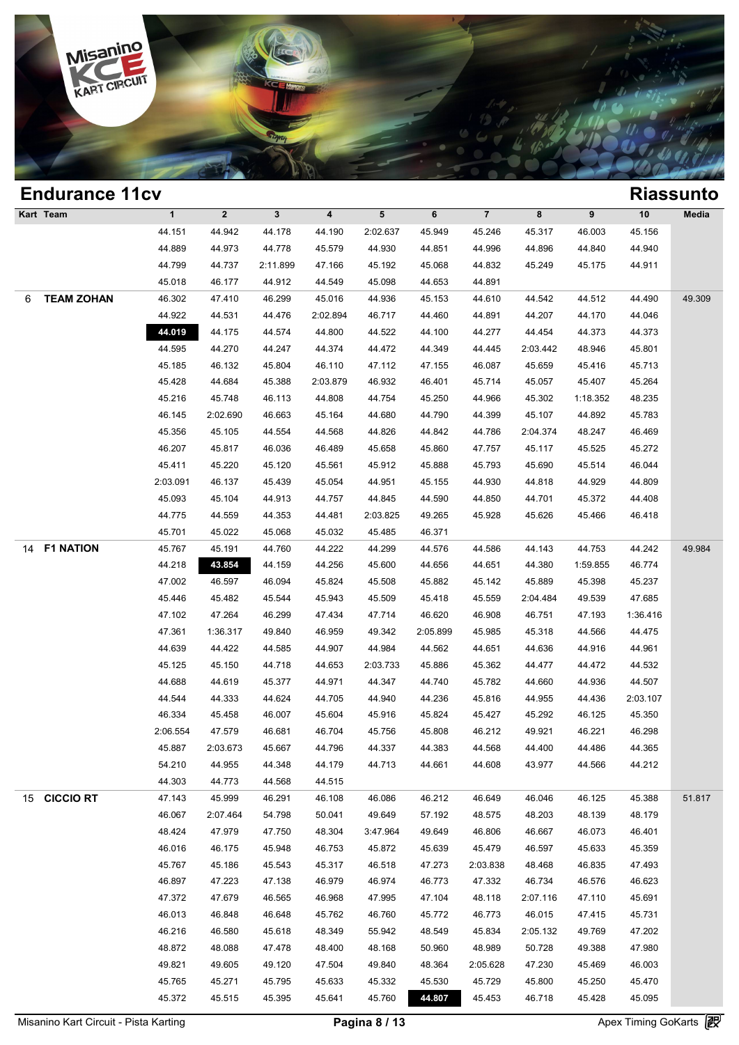

|    | <b>Endurance 11cv</b> |              |              |              |                         |          |          |                         |          |          |          | <b>Riassunto</b> |
|----|-----------------------|--------------|--------------|--------------|-------------------------|----------|----------|-------------------------|----------|----------|----------|------------------|
|    | Kart Team             | $\mathbf{1}$ | $\mathbf{2}$ | $\mathbf{3}$ | $\overline{\mathbf{4}}$ | 5        | 6        | $\overline{\mathbf{7}}$ | 8        | 9        | $10$     | Media            |
|    |                       | 44.151       | 44.942       | 44.178       | 44.190                  | 2:02.637 | 45.949   | 45.246                  | 45.317   | 46.003   | 45.156   |                  |
|    |                       | 44.889       | 44.973       | 44.778       | 45.579                  | 44.930   | 44.851   | 44.996                  | 44.896   | 44.840   | 44.940   |                  |
|    |                       | 44.799       | 44.737       | 2:11.899     | 47.166                  | 45.192   | 45.068   | 44.832                  | 45.249   | 45.175   | 44.911   |                  |
|    |                       | 45.018       | 46.177       | 44.912       | 44.549                  | 45.098   | 44.653   | 44.891                  |          |          |          |                  |
| 6  | <b>TEAM ZOHAN</b>     | 46.302       | 47.410       | 46.299       | 45.016                  | 44.936   | 45.153   | 44.610                  | 44.542   | 44.512   | 44.490   | 49.309           |
|    |                       | 44.922       | 44.531       | 44.476       | 2:02.894                | 46.717   | 44.460   | 44.891                  | 44.207   | 44.170   | 44.046   |                  |
|    |                       | 44.019       | 44.175       | 44.574       | 44.800                  | 44.522   | 44.100   | 44.277                  | 44.454   | 44.373   | 44.373   |                  |
|    |                       | 44.595       | 44.270       | 44.247       | 44.374                  | 44.472   | 44.349   | 44.445                  | 2:03.442 | 48.946   | 45.801   |                  |
|    |                       | 45.185       | 46.132       | 45.804       | 46.110                  | 47.112   | 47.155   | 46.087                  | 45.659   | 45.416   | 45.713   |                  |
|    |                       | 45.428       | 44.684       | 45.388       | 2:03.879                | 46.932   | 46.401   | 45.714                  | 45.057   | 45.407   | 45.264   |                  |
|    |                       | 45.216       | 45.748       | 46.113       | 44.808                  | 44.754   | 45.250   | 44.966                  | 45.302   | 1:18.352 | 48.235   |                  |
|    |                       | 46.145       | 2:02.690     | 46.663       | 45.164                  | 44.680   | 44.790   | 44.399                  | 45.107   | 44.892   | 45.783   |                  |
|    |                       | 45.356       | 45.105       | 44.554       | 44.568                  | 44.826   | 44.842   | 44.786                  | 2:04.374 | 48.247   | 46.469   |                  |
|    |                       | 46.207       | 45.817       | 46.036       | 46.489                  | 45.658   | 45.860   | 47.757                  | 45.117   | 45.525   | 45.272   |                  |
|    |                       | 45.411       | 45.220       | 45.120       | 45.561                  | 45.912   | 45.888   | 45.793                  | 45.690   | 45.514   | 46.044   |                  |
|    |                       | 2:03.091     | 46.137       | 45.439       | 45.054                  | 44.951   | 45.155   | 44.930                  | 44.818   | 44.929   | 44.809   |                  |
|    |                       | 45.093       | 45.104       | 44.913       | 44.757                  | 44.845   | 44.590   | 44.850                  | 44.701   | 45.372   | 44.408   |                  |
|    |                       | 44.775       | 44.559       | 44.353       | 44.481                  | 2:03.825 | 49.265   | 45.928                  | 45.626   | 45.466   | 46.418   |                  |
|    |                       | 45.701       | 45.022       | 45.068       | 45.032                  | 45.485   | 46.371   |                         |          |          |          |                  |
| 14 | <b>F1 NATION</b>      | 45.767       | 45.191       | 44.760       | 44.222                  | 44.299   | 44.576   | 44.586                  | 44.143   | 44.753   | 44.242   | 49.984           |
|    |                       | 44.218       | 43.854       | 44.159       | 44.256                  | 45.600   | 44.656   | 44.651                  | 44.380   | 1:59.855 | 46.774   |                  |
|    |                       | 47.002       | 46.597       | 46.094       | 45.824                  | 45.508   | 45.882   | 45.142                  | 45.889   | 45.398   | 45.237   |                  |
|    |                       | 45.446       | 45.482       | 45.544       | 45.943                  | 45.509   | 45.418   | 45.559                  | 2:04.484 | 49.539   | 47.685   |                  |
|    |                       | 47.102       | 47.264       | 46.299       | 47.434                  | 47.714   | 46.620   | 46.908                  | 46.751   | 47.193   | 1:36.416 |                  |
|    |                       | 47.361       | 1:36.317     | 49.840       | 46.959                  | 49.342   | 2:05.899 | 45.985                  | 45.318   | 44.566   | 44.475   |                  |
|    |                       | 44.639       | 44.422       | 44.585       | 44.907                  | 44.984   | 44.562   | 44.651                  | 44.636   | 44.916   | 44.961   |                  |
|    |                       | 45.125       | 45.150       | 44.718       | 44.653                  | 2:03.733 | 45.886   | 45.362                  | 44.477   | 44.472   | 44.532   |                  |
|    |                       | 44.688       | 44.619       | 45.377       | 44.971                  | 44.347   | 44.740   | 45.782                  | 44.660   | 44.936   | 44.507   |                  |
|    |                       | 44.544       | 44.333       | 44.624       | 44.705                  | 44.940   | 44.236   | 45.816                  | 44.955   | 44.436   | 2:03.107 |                  |
|    |                       | 46.334       | 45.458       | 46.007       | 45.604                  | 45.916   | 45.824   | 45.427                  | 45.292   | 46.125   | 45.350   |                  |
|    |                       | 2:06.554     | 47.579       | 46.681       | 46.704                  | 45.756   | 45.808   | 46.212                  | 49.921   | 46.221   | 46.298   |                  |
|    |                       | 45.887       | 2:03.673     | 45.667       | 44.796                  | 44.337   | 44.383   | 44.568                  | 44.400   | 44.486   | 44.365   |                  |
|    |                       | 54.210       | 44.955       | 44.348       | 44.179                  | 44.713   | 44.661   | 44.608                  | 43.977   | 44.566   | 44.212   |                  |
|    |                       | 44.303       | 44.773       | 44.568       | 44.515                  |          |          |                         |          |          |          |                  |
|    | 15 CICCIO RT          | 47.143       | 45.999       | 46.291       | 46.108                  | 46.086   | 46.212   | 46.649                  | 46.046   | 46.125   | 45.388   | 51.817           |
|    |                       | 46.067       | 2:07.464     | 54.798       | 50.041                  | 49.649   | 57.192   | 48.575                  | 48.203   | 48.139   | 48.179   |                  |
|    |                       | 48.424       | 47.979       | 47.750       | 48.304                  | 3:47.964 | 49.649   | 46.806                  | 46.667   | 46.073   | 46.401   |                  |
|    |                       | 46.016       | 46.175       | 45.948       | 46.753                  | 45.872   | 45.639   | 45.479                  | 46.597   | 45.633   | 45.359   |                  |
|    |                       | 45.767       | 45.186       | 45.543       | 45.317                  | 46.518   | 47.273   | 2:03.838                | 48.468   | 46.835   | 47.493   |                  |
|    |                       | 46.897       | 47.223       | 47.138       | 46.979                  | 46.974   | 46.773   | 47.332                  | 46.734   | 46.576   | 46.623   |                  |
|    |                       | 47.372       | 47.679       | 46.565       | 46.968                  | 47.995   | 47.104   | 48.118                  | 2:07.116 | 47.110   | 45.691   |                  |
|    |                       | 46.013       | 46.848       |              |                         | 46.760   |          |                         |          |          |          |                  |
|    |                       |              |              | 46.648       | 45.762                  |          | 45.772   | 46.773                  | 46.015   | 47.415   | 45.731   |                  |
|    |                       | 46.216       | 46.580       | 45.618       | 48.349                  | 55.942   | 48.549   | 45.834                  | 2:05.132 | 49.769   | 47.202   |                  |
|    |                       | 48.872       | 48.088       | 47.478       | 48.400                  | 48.168   | 50.960   | 48.989                  | 50.728   | 49.388   | 47.980   |                  |
|    |                       | 49.821       | 49.605       | 49.120       | 47.504                  | 49.840   | 48.364   | 2:05.628                | 47.230   | 45.469   | 46.003   |                  |
|    |                       | 45.765       | 45.271       | 45.795       | 45.633                  | 45.332   | 45.530   | 45.729                  | 45.800   | 45.250   | 45.470   |                  |
|    |                       | 45.372       | 45.515       | 45.395       | 45.641                  | 45.760   | 44.807   | 45.453                  | 46.718   | 45.428   | 45.095   |                  |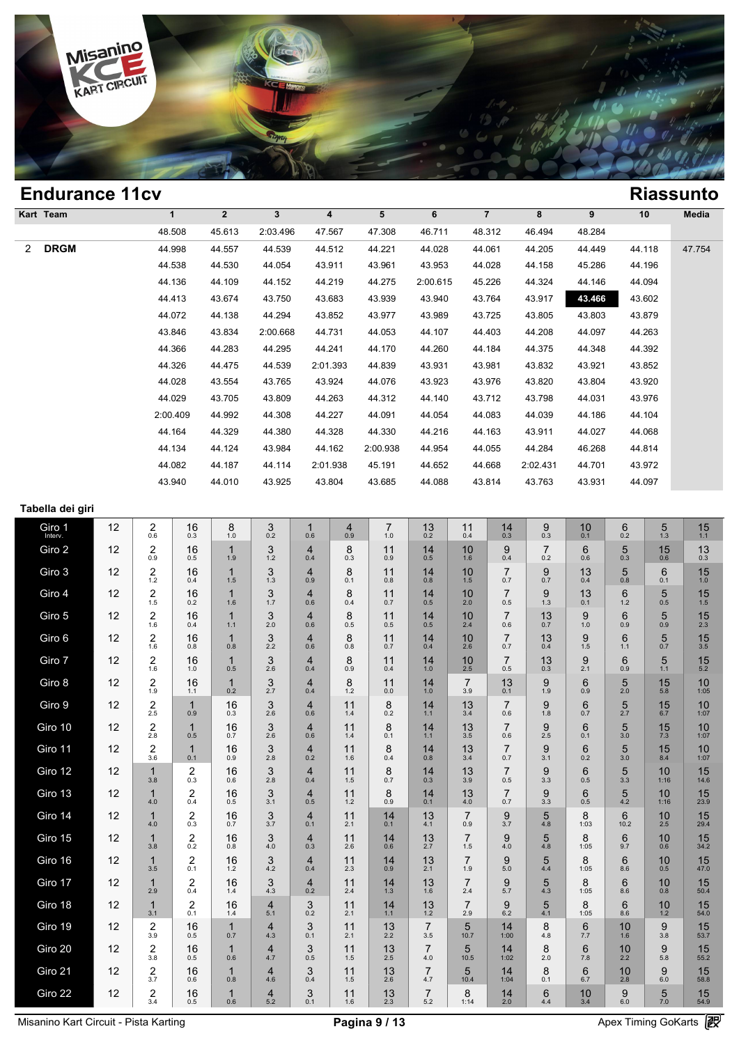

| <b>Endurance 11cv</b> |              |                |          |          |          |          |                |          |        |        | <b>Riassunto</b> |
|-----------------------|--------------|----------------|----------|----------|----------|----------|----------------|----------|--------|--------|------------------|
| Kart Team             | $\mathbf{1}$ | $\overline{2}$ | 3        | 4        | 5        | 6        | $\overline{7}$ | 8        | 9      | 10     | Media            |
|                       | 48.508       | 45.613         | 2:03.496 | 47.567   | 47.308   | 46.711   | 48.312         | 46.494   | 48.284 |        |                  |
| <b>DRGM</b><br>2      | 44.998       | 44.557         | 44.539   | 44.512   | 44.221   | 44.028   | 44.061         | 44.205   | 44.449 | 44.118 | 47.754           |
|                       | 44.538       | 44.530         | 44.054   | 43.911   | 43.961   | 43.953   | 44.028         | 44.158   | 45.286 | 44.196 |                  |
|                       | 44.136       | 44.109         | 44.152   | 44.219   | 44.275   | 2:00.615 | 45.226         | 44.324   | 44.146 | 44.094 |                  |
|                       | 44.413       | 43.674         | 43.750   | 43.683   | 43.939   | 43.940   | 43.764         | 43.917   | 43.466 | 43.602 |                  |
|                       | 44.072       | 44.138         | 44.294   | 43.852   | 43.977   | 43.989   | 43.725         | 43.805   | 43.803 | 43.879 |                  |
|                       | 43.846       | 43.834         | 2:00.668 | 44.731   | 44.053   | 44.107   | 44.403         | 44.208   | 44.097 | 44.263 |                  |
|                       | 44.366       | 44.283         | 44.295   | 44.241   | 44.170   | 44.260   | 44.184         | 44.375   | 44.348 | 44.392 |                  |
|                       | 44.326       | 44.475         | 44.539   | 2:01.393 | 44.839   | 43.931   | 43.981         | 43.832   | 43.921 | 43.852 |                  |
|                       | 44.028       | 43.554         | 43.765   | 43.924   | 44.076   | 43.923   | 43.976         | 43.820   | 43.804 | 43.920 |                  |
|                       | 44.029       | 43.705         | 43.809   | 44.263   | 44.312   | 44.140   | 43.712         | 43.798   | 44.031 | 43.976 |                  |
|                       | 2:00.409     | 44.992         | 44.308   | 44.227   | 44.091   | 44.054   | 44.083         | 44.039   | 44.186 | 44.104 |                  |
|                       | 44.164       | 44.329         | 44.380   | 44.328   | 44.330   | 44.216   | 44.163         | 43.911   | 44.027 | 44.068 |                  |
|                       | 44.134       | 44.124         | 43.984   | 44.162   | 2:00.938 | 44.954   | 44.055         | 44.284   | 46.268 | 44.814 |                  |
|                       | 44.082       | 44.187         | 44.114   | 2:01.938 | 45.191   | 44.652   | 44.668         | 2:02.431 | 44.701 | 43.972 |                  |
|                       | 43.940       | 44.010         | 43.925   | 43.804   | 43.685   | 44.088   | 43.814         | 43.763   | 43.931 | 44.097 |                  |

| Tabella dei giri |  |  |
|------------------|--|--|
|                  |  |  |

| Tabella del giri  |    |                                |                                   |                     |                                         |                                  |                                         |                       |                       |                        |                       |                         |                 |                         |                         |                        |  |
|-------------------|----|--------------------------------|-----------------------------------|---------------------|-----------------------------------------|----------------------------------|-----------------------------------------|-----------------------|-----------------------|------------------------|-----------------------|-------------------------|-----------------|-------------------------|-------------------------|------------------------|--|
| Giro 1<br>Interv. | 12 | $\overline{\mathbf{c}}$<br>0.6 | 16<br>0.3                         | 8<br>1.0            | $\ensuremath{\mathsf{3}}$<br>0.2        | $\mathbf{1}$<br>0.6              | $\overline{4}$<br>0.9                   | $\overline{7}$<br>1.0 | 13<br>0.2             | 11<br>0.4              | 14<br>0.3             | 9<br>0.3                | 10<br>0.1       | $\,6$<br>0.2            | $\sqrt{5}$<br>1.3       | 15<br>$1.1$            |  |
| Giro 2            | 12 | $\overline{2}$<br>0.9          | 16<br>0.5                         | $\mathbf{1}$<br>1.9 | 3<br>1.2                                | $\overline{4}$<br>0.4            | 8<br>0.3                                | 11<br>0.9             | 14<br>0.5             | 10<br>1.6              | 9<br>0.4              | $\overline{7}$<br>0.2   | 6<br>0.6        | 5<br>0.3                | 15<br>0.6               | 13<br>0.3              |  |
| Giro 3            | 12 | $\frac{2}{1.2}$                | 16<br>0.4                         | $\mathbf{1}$<br>1.5 | $3_{1.3}$                               | 4<br>0.9                         | 8<br>0.1                                | 11<br>0.8             | $14 \atop 0.8$        | $10^{10}_{1.5}$        | $\overline{7}$<br>0.7 | 9<br>0.7                | 13<br>0.4       | 5<br>0.8                | 6<br>0.1                | $15 \atop 1.0$         |  |
| Giro 4            | 12 | $\frac{2}{1.5}$                | 16<br>0.2                         | $\mathbf{1}$<br>1.6 | $\frac{3}{1.7}$                         | $\overline{4}$<br>0.6            | 8<br>0.4                                | 11<br>0.7             | $14_{0.5}$            | 10<br>2.0              | $\overline{7}$<br>0.5 | $9_{1.3}$               | 13<br>0.1       | $\,6$<br>1.2            | $\frac{5}{0.5}$         | 15<br>1.5              |  |
| Giro 5            | 12 | $\boldsymbol{2}$<br>1.6        | 16<br>0.4                         | $\mathbf{1}$<br>1.1 | 3<br>2.0                                | $\overline{4}$<br>0.6            | 8<br>0.5                                | 11<br>0.5             | 14<br>0.5             | 10<br>2.4              | $\overline{7}$<br>0.6 | 13<br>0.7               | 9<br>1.0        | 6<br>0.9                | 5<br>0.9                | 15<br>2.3              |  |
| Giro 6            | 12 | $\overline{c}$<br>1.6          | 16<br>$0.\overline{8}$            | $\mathbf{1}$<br>0.8 | $\begin{array}{c} 3 \\ 2.2 \end{array}$ | 4<br>0.6                         | 8<br>0.8                                | 11<br>0.7             | 14<br>0.4             | 10<br>$2.\overline{6}$ | $\overline{7}$<br>0.7 | 13<br>0.4               | 9<br>1.5        | $6\phantom{1}$<br>1.1   | 5<br>0.7                | 15<br>$3.\overline{5}$ |  |
| Giro 7            | 12 | $\frac{2}{1.6}$                | 16<br>1.0                         | $\mathbf{1}$<br>0.5 | $\frac{3}{2.6}$                         | $\overline{4}$<br>0.4            | $\begin{array}{c} 8 \\ 0.9 \end{array}$ | 11<br>0.4             | $14 \atop 1.0$        | $\frac{10}{2.5}$       | $\overline{7}$<br>0.5 | $13_{0.3}$              | $\frac{9}{2.1}$ | $6_{0.9}$               | $\frac{5}{1.1}$         | $15$ <sub>5.2</sub>    |  |
| Giro 8            | 12 | $\boldsymbol{2}$<br>1.9        | 16<br>1.1                         | $\mathbf{1}$<br>0.2 | $\ensuremath{\mathsf{3}}$<br>2.7        | $\overline{4}$<br>0.4            | 8<br>1.2                                | 11<br>$0.0\,$         | 14<br>1.0             | $\overline{7}$<br>3.9  | 13<br>0.1             | 9<br>1.9                | 6<br>0.9        | 5<br>2.0                | 15<br>5.8               | 10<br>1:05             |  |
| Giro 9            | 12 | $\boldsymbol{2}$<br>2.5        | $\mathbf{1}$<br>0.9               | 16<br>0.3           | $\mathbf{3}$<br>2.6                     | $\overline{4}$<br>0.6            | 11<br>1.4                               | 8<br>0.2              | 14<br>1.1             | 13<br>3.4              | $\overline{7}$<br>0.6 | 9<br>1.8                | $\,6$<br>0.7    | 5<br>2.7                | 15<br>6.7               | 10<br>1:07             |  |
| Giro 10           | 12 | $\frac{2}{2.8}$                | $\mathbf{1}$<br>0.5               | $16_{0.7}$          | 3<br>2.6                                | $\overline{\mathbf{4}}$<br>0.6   | 11<br>1.4                               | 8<br>0.1              | $14 \n1.1$            | 13<br>$3.\overline{5}$ | $\overline{7}$<br>0.6 | $\boldsymbol{9}$<br>2.5 | 6<br>0.1        | $\frac{5}{3.0}$         | $15 \atop 7.3$          | 10<br>1:07             |  |
| Giro 11           | 12 | $\frac{2}{3.6}$                | $\mathbf{1}$<br>0.1               | 16<br>0.9           | $\mathsf 3$<br>2.8                      | $\overline{4}$<br>0.2            | 11<br>1.6                               | 8<br>0.4              | 14<br>0.8             | 13<br>3.4              | $\overline{7}$<br>0.7 | $\boldsymbol{9}$<br>3.1 | 6<br>0.2        | 5<br>3.0                | 15<br>8.4               | 10<br>1:07             |  |
| Giro 12           | 12 | $\mathbf{1}$<br>3.8            | $^{\,2}_{\scriptscriptstyle 0.3}$ | 16<br>0.6           | $\mathbf{3}$<br>2.8                     | $\overline{\mathbf{4}}$<br>0.4   | 11<br>1.5                               | 8<br>0.7              | 14<br>0.3             | 13<br>3.9              | $\overline{7}$<br>0.5 | $\boldsymbol{9}$<br>3.3 | 6<br>0.5        | 5<br>3.3                | 10<br>1:16              | 15<br>14.6             |  |
| Giro 13           | 12 | $\mathbf{1}$<br>4.0            | $^{2}_{0.4}$                      | 16<br>0.5           | 3<br>3.1                                | $\overline{4}$<br>0.5            | 11<br>1.2                               | 8<br>0.9              | 14<br>0.1             | 13<br>4.0              | $\overline{7}$<br>0.7 | 9<br>3.3                | 6<br>0.5        | $\frac{5}{4.2}$         | 10<br>1:16              | 15<br>23.9             |  |
| Giro 14           | 12 | $\mathbf{1}$<br>4.0            | $^{2}_{0.3}$                      | 16<br>0.7           | $\frac{3}{3.7}$                         | $\overline{4}$<br>0.1            | 11<br>2.1                               | 14<br>0.1             | 13<br>4.1             | $\overline{7}$<br>0.9  | $9 \choose 3.7$       | 5<br>4.8                | 8<br>1:03       | 6<br>10.2               | 10<br>2.5               | 15<br>29.4             |  |
| Giro 15           | 12 | $\mathbf{1}$<br>3.8            | $^{2}_{0.2}$                      | 16<br>0.8           | 3<br>4.0                                | 4<br>0.3                         | 11<br>2.6                               | 14<br>0.6             | 13<br>2.7             | $\overline{7}$<br>1.5  | 9<br>4.0              | 5<br>4.8                | 8<br>1:05       | $\,6$<br>9.7            | 10<br>0.6               | 15<br>34.2             |  |
| Giro 16           | 12 | $\mathbf{1}$<br>3.5            | $\overline{c}$<br>0.1             | 16<br>1.2           | 3<br>4.2                                | $\overline{4}$<br>0.4            | 11<br>2.3                               | 14<br>0.9             | 13<br>2.1             | $\overline{7}$<br>1.9  | 9<br>5.0              | 5<br>4.4                | 8<br>1:05       | $\,6$<br>8.6            | 10<br>0.5               | 15<br>47.0             |  |
| Giro 17           | 12 | $\mathbf{1}$<br>2.9            | $^{2}_{0.4}$                      | 16<br>1.4           | $\mathfrak{Z}_{4.3}$                    | 4<br>0.2                         | 11<br>2.4                               | 14<br>1.3             | 13<br>1.6             | $\overline{7}$<br>2.4  | 9<br>5.7              | 5<br>4.3                | 8<br>1:05       | $6\phantom{1}$<br>8.6   | 10<br>0.8               | 15<br>50.4             |  |
| Giro 18           | 12 | $\mathbf{1}$<br>3.1            | $^{2}_{0.1}$                      | 16<br>1.4           | $\overline{\mathbf{4}}$<br>5.1          | $\ensuremath{\mathsf{3}}$<br>0.2 | 11<br>2.1                               | 14<br>1.1             | $13 \atop 1.2$        | $\overline{7}$<br>2.9  | $\underset{6.2}{9}$   | $\frac{5}{4.1}$         | 8<br>1:05       | 68.6                    | 10<br>1.2               | $15$ <sub>54.0</sub>   |  |
| Giro 19           | 12 | $\overline{\mathbf{c}}$<br>3.9 | 16<br>0.5                         | $\mathbf{1}$<br>0.7 | $\overline{4}$<br>4.3                   | 3<br>0.1                         | 11<br>2.1                               | 13<br>2.2             | $\overline{7}$<br>3.5 | 5<br>10.7              | 14<br>1:00            | 8<br>4.8                | $\,6$<br>7.7    | 10<br>1.6               | $\boldsymbol{9}$<br>3.8 | 15<br>53.7             |  |
| Giro 20           | 12 | $\overline{2}$<br>3.8          | 16<br>0.5                         | $\mathbf{1}$<br>0.6 | $\overline{4}$<br>4.7                   | $\mathsf 3$<br>0.5               | 11<br>1.5                               | 13<br>2.5             | $\overline{7}$<br>4.0 | 5<br>10.5              | 14<br>1:02            | 8<br>2.0                | $\,6$<br>7.8    | 10<br>2.2               | $\boldsymbol{9}$<br>5.8 | 15<br>55.2             |  |
| Giro 21           | 12 | $\frac{2}{3.7}$                | $\frac{16}{0.6}$                  | $\mathbf{1}$<br>0.8 | 4<br>4.6                                | 3<br>0.4                         | 11<br>1.5                               | $13 \atop 2.6$        | $\overline{7}$<br>4.7 | $\frac{5}{10.4}$       | $14$<br>1:04          | $8_{0.1}$               | 6.76            | $\frac{10}{2.8}$        | $9$ $_{\rm 6.0}$        | $15$ <sub>58.8</sub>   |  |
| Giro 22           | 12 | $\overline{\mathbf{c}}$<br>3.4 | 16<br>0.5                         | $\mathbf{1}$<br>0.6 | $\overline{4}$<br>5.2                   | 3<br>0.1                         | 11<br>1.6                               | 13<br>2.3             | $\overline{7}$<br>5.2 | 8<br>1:14              | 14<br>2.0             | $\,6$<br>4.4            | 10<br>3.4       | $\boldsymbol{9}$<br>6.0 | $\frac{5}{7.0}$         | 15<br>54.9             |  |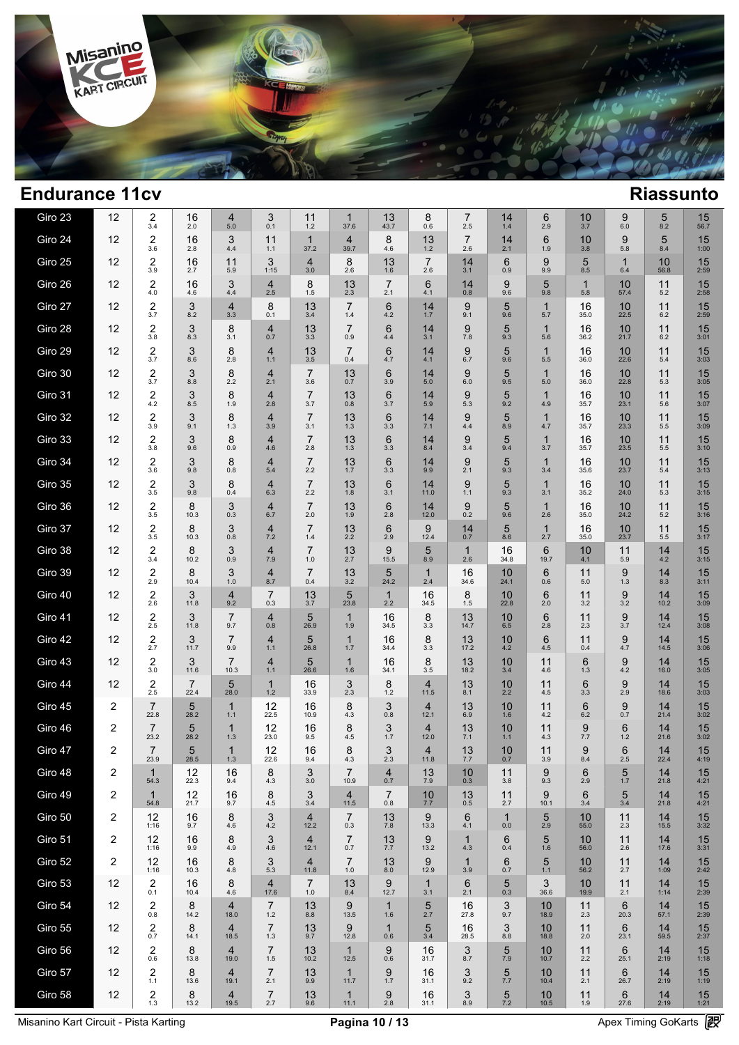

| Giro 23 | 12             | $\frac{2}{3.4}$                | 16<br>2.0              | 4<br>5.0               | 3<br>0.1                  | 11<br>1.2              | $\mathbf{1}$<br>37.6   | 13<br>43.7             | 8<br>0.6               | 7<br>2.5              | 14<br>1.4          | 6<br>2.9            | 10<br>3.7          | 9<br>6.0            | 5<br>8.2   | 15<br>56.7           |  |
|---------|----------------|--------------------------------|------------------------|------------------------|---------------------------|------------------------|------------------------|------------------------|------------------------|-----------------------|--------------------|---------------------|--------------------|---------------------|------------|----------------------|--|
| Giro 24 | 12             | $\overline{c}$<br>3.6          | 16<br>2.8              | 3<br>4.4               | 11<br>1.1                 | $\mathbf 1$<br>37.2    | $\overline{4}$<br>39.7 | 8<br>4.6               | 13<br>$1.2$            | $\overline{7}$<br>2.6 | 14<br>2.1          | 6<br>1.9            | 10<br>3.8          | 9<br>5.8            | 5<br>8.4   | 15<br>1:00           |  |
| Giro 25 | 12             | $\overline{2}$<br>3.9          | 16<br>2.7              | 11<br>5.9              | 3<br>1:15                 | $\overline{4}$<br>3.0  | 8<br>2.6               | 13<br>1.6              | $\overline{7}$<br>2.6  | 14<br>3.1             | 6<br>0.9           | 9<br>9.9            | 5<br>8.5           | $\mathbf{1}$<br>6.4 | 10<br>56.8 | 15<br>2:59           |  |
| Giro 26 | 12             | $\overline{2}$<br>4.0          | 16<br>4.6              | 3<br>4.4               | $\overline{4}$<br>2.5     | 8<br>1.5               | 13<br>2.3              | $\overline{7}$<br>2.1  | 6<br>4.1               | 14<br>0.8             | 9<br>9.6           | 5<br>9.8            | $\mathbf 1$<br>5.8 | 10<br>57.4          | 11<br>5.2  | 15<br>2:58           |  |
| Giro 27 | 12             | $\overline{\mathbf{c}}$<br>3.7 | 3<br>8.2               | $\overline{4}$<br>3.3  | 8<br>0.1                  | 13<br>3.4              | $\overline{7}$<br>1.4  | 6<br>4.2               | 14<br>1.7              | 9<br>9.1              | 5<br>9.6           | $\mathbf 1$<br>5.7  | 16<br>35.0         | 10<br>22.5          | 11<br>6.2  | 15<br>2:59           |  |
| Giro 28 | 12             | $\overline{2}$<br>3.8          | 3<br>8.3               | 8<br>3.1               | $\overline{4}$<br>0.7     | 13<br>3.3              | $\overline{7}$<br>0.9  | 6<br>4.4               | 14<br>3.1              | 9<br>7.8              | 5<br>9.3           | $\mathbf 1$<br>5.6  | 16<br>36.2         | 10<br>21.7          | 11<br>6.2  | 15<br>3:01           |  |
| Giro 29 | 12             | $\overline{2}$<br>3.7          | 3<br>8.6               | 8<br>2.8               | $\overline{4}$<br>1.1     | 13<br>3.5              | $\overline{7}$<br>0.4  | $6\phantom{1}6$<br>4.7 | 14<br>4.1              | 9<br>6.7              | 5<br>9.6           | $\mathbf 1$<br>5.5  | 16<br>36.0         | 10<br>22.6          | 11<br>5.4  | 15<br>3:03           |  |
| Giro 30 | 12             | $\overline{\mathbf{c}}$<br>3.7 | 3<br>8.8               | 8<br>2.2               | $\overline{4}$<br>2.1     | $\overline{7}$<br>3.6  | 13<br>0.7              | 6<br>3.9               | 14<br>5.0              | 9<br>6.0              | 5<br>9.5           | $\mathbf 1$<br>5.0  | 16<br>36.0         | 10<br>22.8          | 11<br>5.3  | 15<br>3:05           |  |
| Giro 31 | 12             | $\overline{2}$<br>4.2          | 3<br>8.5               | 8<br>1.9               | $\overline{4}$<br>2.8     | $\overline{7}$<br>3.7  | 13<br>0.8              | $6\phantom{1}6$<br>3.7 | 14<br>5.9              | 9<br>5.3              | 5<br>9.2           | $\mathbf 1$<br>4.9  | 16<br>35.7         | 10<br>23.1          | 11<br>5.6  | 15<br>3:07           |  |
| Giro 32 | 12             | $\overline{2}$<br>3.9          | 3<br>9.1               | 8<br>1.3               | $\overline{4}$<br>3.9     | $\overline{7}$<br>3.1  | 13<br>1.3              | 6<br>3.3               | 14<br>7.1              | 9<br>4.4              | 5<br>8.9           | $\mathbf 1$<br>4.7  | 16<br>35.7         | 10<br>23.3          | 11<br>5.5  | 15<br>3:09           |  |
| Giro 33 | 12             | $\overline{2}$<br>3.8          | 3<br>9.6               | 8<br>0.9               | $\overline{4}$<br>4.6     | $\overline{7}$<br>2.8  | 13<br>1.3              | $6\phantom{1}6$<br>3.3 | 14<br>8.4              | 9<br>3.4              | 5<br>9.4           | $\mathbf{1}$<br>3.7 | 16<br>35.7         | 10<br>23.5          | 11<br>5.5  | 15<br>3:10           |  |
| Giro 34 | 12             | $\overline{\mathbf{c}}$<br>3.6 | 3<br>9.8               | 8<br>0.8               | $\overline{4}$<br>$5.4$   | $\overline{7}$<br>2.2  | 13<br>1.7              | $6\phantom{1}6$<br>3.3 | 14<br>9.9              | 9<br>2.1              | 5<br>9.3           | $\mathbf{1}$<br>3.4 | 16<br>35.6         | 10<br>23.7          | 11<br>5.4  | 15<br>3:13           |  |
| Giro 35 | 12             | $\overline{\mathbf{c}}$<br>3.5 | 3<br>9.8               | 8<br>0.4               | $\overline{4}$<br>6.3     | $\overline{7}$<br>2.2  | 13<br>1.8              | $6\phantom{1}6$<br>3.1 | 14<br>11.0             | 9<br>1.1              | 5<br>9.3           | 1<br>3.1            | 16<br>35.2         | 10<br>24.0          | 11<br>5.3  | 15<br>3:15           |  |
| Giro 36 | 12             | $\overline{\mathbf{c}}$<br>3.5 | 8<br>10.3              | 3<br>0.3               | $\overline{4}$<br>6.7     | $\overline{7}$<br>2.0  | 13<br>1.9              | 6<br>2.8               | 14<br>12.0             | 9<br>0.2              | 5<br>9.6           | $\mathbf{1}$<br>2.6 | 16<br>35.0         | 10<br>24.2          | 11<br>5.2  | 15<br>3:16           |  |
| Giro 37 | 12             | 2<br>3.5                       | 8<br>10.3              | 3<br>0.8               | $\overline{4}$<br>7.2     | $\overline{7}$<br>1.4  | 13<br>2.2              | 6<br>2.9               | 9<br>12.4              | 14<br>0.7             | 5<br>8.6           | $\mathbf{1}$<br>2.7 | 16<br>35.0         | 10<br>23.7          | 11<br>5.5  | 15<br>3:17           |  |
| Giro 38 | 12             | 2<br>3.4                       | 8<br>10.2              | 3<br>0.9               | $\overline{4}$<br>7.9     | $\overline{7}$<br>1.0  | 13<br>2.7              | 9<br>15.5              | 5<br>8.9               | $\mathbf 1$<br>2.6    | 16<br>34.8         | 6<br>19.7           | 10<br>4.1          | 11<br>5.9           | 14<br>4.2  | 15<br>3:15           |  |
| Giro 39 | 12             | 2<br>2.9                       | 8<br>10.4              | 3<br>1.0               | 4<br>8.7                  | $\overline{7}$<br>0.4  | 13<br>3.2              | 5<br>24.2              | $\mathbf{1}$<br>2.4    | 16<br>34.6            | 10<br>24.1         | 6<br>0.6            | 11<br>5.0          | 9<br>1.3            | 14<br>8.3  | 15<br>3:11           |  |
| Giro 40 | 12             | $\overline{2}$<br>2.6          | 3<br>11.8              | $\overline{4}$<br>9.2  | $\overline{7}$<br>0.3     | 13<br>3.7              | 5<br>23.8              | $\mathbf{1}$<br>2.2    | 16<br>34.5             | 8<br>1.5              | 10<br>22.8         | 6<br>2.0            | 11<br>3.2          | 9<br>3.2            | 14<br>10.2 | 15<br>3:09           |  |
| Giro 41 | 12             | $\overline{2}$<br>2.5          | 3<br>11.8              | $\overline{7}$<br>9.7  | $\overline{4}$<br>0.8     | 5<br>26.9              | $\mathbf{1}$<br>1.9    | 16<br>34.5             | 8<br>3.3               | 13<br>14.7            | 10<br>6.5          | 6<br>2.8            | 11<br>2.3          | 9<br>3.7            | 14<br>12.4 | 15<br>3:08           |  |
| Giro 42 | 12             | $\overline{2}$<br>2.7          | 3<br>11.7              | $\overline{7}$<br>9.9  | $\overline{4}$<br>1.1     | 5<br>26.8              | $\mathbf{1}$<br>1.7    | 16<br>34.4             | 8<br>3.3               | 13<br>17.2            | 10<br>4.2          | 6<br>4.5            | 11<br>0.4          | 9<br>4.7            | 14<br>14.5 | 15<br>3:06           |  |
| Giro 43 | 12             | $\overline{2}$<br>3.0          | 3<br>11.6              | $\overline{7}$<br>10.3 | 4<br>1.1                  | 5<br>26.6              | $\mathbf{1}$<br>1.6    | 16<br>34.1             | 8<br>3.5               | 13<br>18.2            | 10<br>3.4          | 11<br>4.6           | 6<br>1.3           | 9<br>4.2            | 14<br>16.0 | 15<br>3:05           |  |
| Giro 44 | 12             | $\overline{2}$<br>2.5          | $\overline{7}$<br>22.4 | 5<br>28.0              | $\mathbf 1$<br>$1.2$      | 16<br>33.9             | 3<br>2.3               | 8<br>1.2               | $\overline{4}$<br>11.5 | 13<br>8.1             | 10<br>2.2          | 11<br>4.5           | 6<br>3.3           | 9<br>2.9            | 14<br>18.6 | 15<br>3:03           |  |
| Giro 45 | 2              | $\overline{7}$<br>22.8         | 5<br>28.2              | $\mathbf{1}$<br>1.1    | 12<br>22.5                | 16<br>10.9             | 8<br>4.3               | 3<br>0.8               | $\overline{4}$<br>12.1 | 13<br>6.9             | 10<br>1.6          | 11<br>4.2           | 6<br>6.2           | 9<br>0.7            | 14<br>21.4 | 15<br>3:02           |  |
| Giro 46 | 2              | $\overline{7}$<br>23.2         | 5<br>28.2              | $\mathbf{1}$<br>1.3    | 12<br>23.0                | 16<br>9.5              | 8<br>4.5               | 3<br>1.7               | $\overline{4}$<br>12.0 | 13<br>7.1             | 10<br>$1.1$        | 11<br>4.3           | 9<br>7.7           | 6<br>1.2            | 14<br>21.6 | 15<br>3:02           |  |
| Giro 47 | $\overline{2}$ | $\overline{7}$<br>23.9         | 5<br>28.5              | $\mathbf{1}$<br>1.3    | 12<br>22.6                | 16<br>9.4              | 8<br>4.3               | 3<br>2.3               | 4<br>11.8              | 13<br>7.7             | 10<br>0.7          | 11<br>3.9           | 9<br>8.4           | 6<br>2.5            | 14<br>22.4 | 15<br>4:19           |  |
| Giro 48 | 2              | 54.3                           | 12<br>22.3             | 16<br>9.4              | 8<br>4.3                  | 3<br>3.0               | 10.9                   | $\overline{4}$<br>0.7  | 13<br>7.9              | 10<br>0.3             | 11<br>3.8          | 9<br>9.3            | 6<br>2.9           | $\frac{5}{1.7}$     | 14<br>21.8 | 15<br>4:21           |  |
| Giro 49 | 2              | $\mathbf{1}$<br>54.8           | 12<br>21.7             | 16<br>9.7              | 8<br>4.5                  | 3<br>3.4               | $\overline{4}$<br>11.5 | 7<br>0.8               | 10<br>7.7              | 13<br>0.5             | 11<br>2.7          | 9<br>10.1           | 6<br>3.4           | 5<br>3.4            | 14<br>21.8 | 15<br>4:21           |  |
| Giro 50 | 2              | 12<br>1:16                     | 16<br>9.7              | 8<br>4.6               | 3<br>4.2                  | $\overline{4}$<br>12.2 | 7<br>0.3               | 13<br>7.8              | 9<br>13.3              | 6<br>4.1              | $\mathbf 1$<br>0.0 | 5<br>2.9            | 10<br>55.0         | 11<br>2.3           | 14<br>15.5 | 15<br>3:32           |  |
| Giro 51 | $\overline{2}$ | 12<br>1:16                     | 16<br>9.9              | 8<br>4.9               | 3<br>4.6                  | $\overline{4}$<br>12.1 | $\overline{7}$<br>0.7  | 13<br>7.7              | 9<br>13.2              | $\mathbf 1$<br>4.3    | 6<br>0.4           | $\frac{5}{1.6}$     | 10<br>56.0         | 11<br>2.6           | 14<br>17.6 | 15<br>3:31           |  |
| Giro 52 | $\overline{2}$ | 12<br>1:16                     | 16<br>10.3             | 8<br>4.8               | 3<br>5.3                  | $\overline{4}$<br>11.8 | 7<br>1.0               | 13<br>8.0              | 9<br>12.9              | $\mathbf 1$<br>3.9    | 6<br>0.7           | 5<br>1.1            | 10<br>56.2         | 11<br>2.7           | 14<br>1:09 | 15<br>2:42           |  |
| Giro 53 | 12             | $^{2}_{0.1}$                   | 16<br>10.4             | 8<br>4.6               | 4<br>17.6                 | 7<br>1.0               | 13<br>8.4              | 9<br>12.7              | $\mathbf{1}$<br>3.1    | 6<br>2.1              | 5<br>0.3           | 3<br>36.6           | 10<br>19.9         | 11<br>2.1           | 14<br>1:14 | 15<br>2:39           |  |
| Giro 54 | 12             | $\overline{2}$<br>0.8          | 8<br>14.2              | $\overline{4}$<br>18.0 | $\overline{7}$<br>1.2     | 13<br>8.8              | 9<br>13.5              | $\mathbf{1}$<br>1.6    | 5<br>2.7               | 16<br>27.8            | 3<br>9.7           | 10<br>18.9          | 11<br>2.3          | 6<br>20.3           | 14<br>57.1 | 15<br>2:39           |  |
| Giro 55 | 12             | $^{2}_{0.7}$                   | 8<br>14.1              | $\overline{4}$<br>18.5 | $\overline{7}$<br>1.3     | 13<br>9.7              | 9<br>12.8              | $\mathbf{1}$<br>0.6    | 5<br>3.4               | 16<br>28.5            | 3<br>8.8           | 10<br>18.8          | 11<br>2.0          | 6<br>23.1           | 14<br>59.5 | $15$ <sub>2:37</sub> |  |
| Giro 56 | 12             | $\boldsymbol{2}$<br>0.6        | 8<br>13.8              | $\overline{4}$<br>19.0 | $\overline{7}$<br>1.5     | 13<br>10.2             | $\mathbf{1}$<br>12.5   | 9<br>0.6               | 16<br>31.7             | 3<br>8.7              | 5<br>7.9           | 10<br>10.7          | 11<br>2.2          | 6<br>25.1           | 14<br>2:19 | 15<br>1:18           |  |
| Giro 57 | 12             | $\overline{2}$<br>1.1          | 8<br>13.6              | $\overline{4}$<br>19.1 | $\overline{7}$<br>2.1     | 13<br>9.9              | $\mathbf{1}$<br>11.7   | 9<br>1.7               | 16<br>31.1             | 3<br>9.2              | 5<br>7.7           | 10<br>10.4          | 11<br>2.1          | 6<br>26.7           | 14<br>2:19 | 15<br>1:19           |  |
| Giro 58 | 12             | $\frac{2}{1.3}$                | 8<br>13.2              | $\overline{4}$<br>19.5 | $\overline{7}$<br>$2.7\,$ | 13<br>9.6              | $\mathbf{1}$<br>11.1   | 9<br>$2.8\,$           | 16<br>31.1             | 3<br>8.9              | 5<br>7.2           | 10<br>10.5          | 11<br>1.9          | 6<br>27.6           | 14<br>2:19 | 15<br>1:21           |  |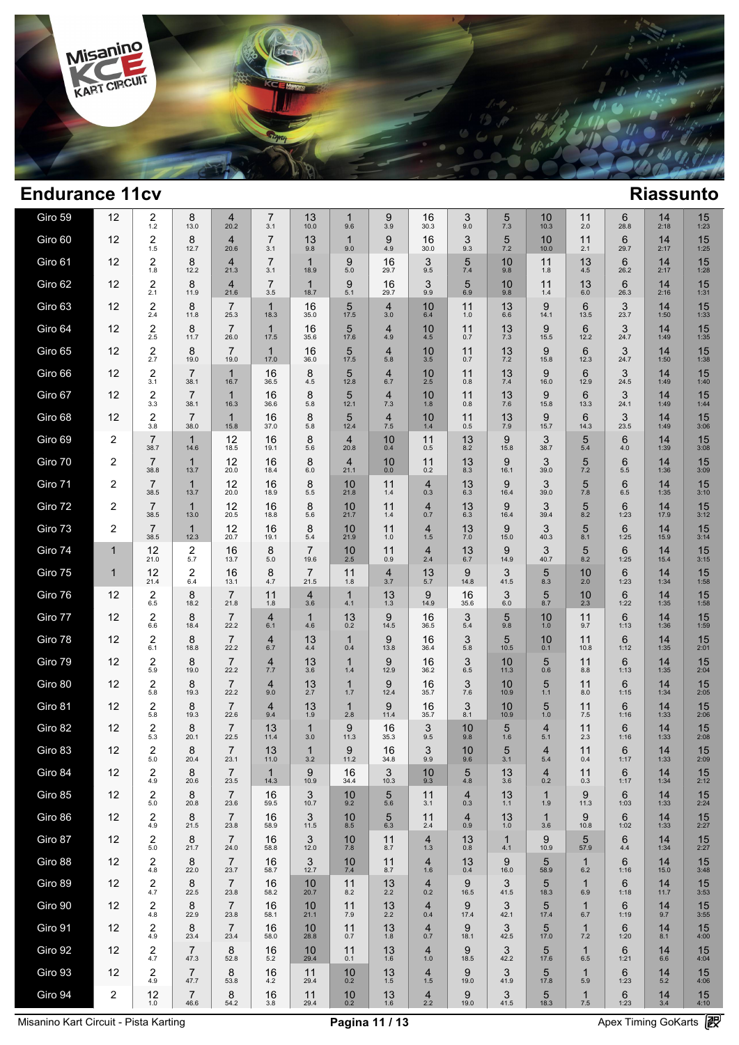

| Giro 59 | 12                      | $^{2}_{1.2}$                     | 8<br>13.0              | 4<br>20.2              | 7<br>3.1              | 13<br>10.0             | 1<br>9.6               | 9<br>3.9              | 16<br>30.3                | 3<br>9.0              | 5<br>7.3            | 10<br>10.3            | 11<br>2.0               | 6<br>28.8 | 14<br>2:18 | 15<br>1:23           |  |
|---------|-------------------------|----------------------------------|------------------------|------------------------|-----------------------|------------------------|------------------------|-----------------------|---------------------------|-----------------------|---------------------|-----------------------|-------------------------|-----------|------------|----------------------|--|
| Giro 60 | 12                      | $\boldsymbol{2}$<br>1.5          | 8<br>12.7              | $\overline{4}$<br>20.6 | $\overline{7}$<br>3.1 | 13<br>9.8              | $\mathbf{1}$<br>9.0    | 9<br>4.9              | 16<br>30.0                | 3<br>9.3              | 5<br>7.2            | 10<br>10.0            | 11<br>2.1               | 6<br>29.7 | 14<br>2:17 | 15<br>1:25           |  |
| Giro 61 | 12                      | $\overline{2}$<br>1.8            | 8<br>12.2              | $\overline{4}$<br>21.3 | $\overline{7}$<br>3.1 | $\mathbf{1}$<br>18.9   | 9<br>5.0               | 16<br>29.7            | 3<br>9.5                  | 5<br>7.4              | 10<br>9.8           | 11<br>1.8             | 13<br>4.5               | 6<br>26.2 | 14<br>2:17 | 15<br>1:28           |  |
| Giro 62 | 12                      | $\overline{2}$<br>2.1            | 8<br>11.9              | $\overline{4}$<br>21.6 | $\overline{7}$<br>3.5 | $\mathbf{1}$<br>18.7   | 9<br>5.1               | 16<br>29.7            | 3<br>9.9                  | 5<br>6.9              | 10<br>9.8           | 11<br>1.4             | 13<br>6.0               | 6<br>26.3 | 14<br>2:16 | 15<br>1:31           |  |
| Giro 63 | 12                      | $\overline{2}$<br>2.4            | 8<br>11.8              | $\overline{7}$<br>25.3 | $\mathbf{1}$<br>18.3  | 16<br>35.0             | 5<br>17.5              | $\overline{4}$<br>3.0 | 10<br>6.4                 | 11<br>1.0             | 13<br>6.6           | 9<br>14.1             | 6<br>13.5               | 3<br>23.7 | 14<br>1:50 | 15<br>1:33           |  |
| Giro 64 | 12                      | $\overline{2}$<br>2.5            | 8<br>11.7              | $\overline{7}$<br>26.0 | $\mathbf{1}$<br>17.5  | 16<br>35.6             | 5<br>17.6              | $\overline{4}$<br>4.9 | 10<br>4.5                 | 11<br>0.7             | 13<br>7.3           | 9<br>15.5             | 6<br>12.2               | 3<br>24.7 | 14<br>1:49 | 15<br>1:35           |  |
| Giro 65 | 12                      | $\overline{\mathbf{c}}$<br>2.7   | 8<br>19.0              | $\overline{7}$<br>19.0 | $\mathbf{1}$<br>17.0  | 16<br>36.0             | 5<br>17.5              | $\overline{4}$<br>5.8 | 10<br>3.5                 | 11<br>0.7             | 13<br>7.2           | 9<br>15.8             | 6<br>12.3               | 3<br>24.7 | 14<br>1:50 | 15<br>1:38           |  |
| Giro 66 | 12                      | $\overline{\mathbf{c}}$<br>3.1   | $\overline{7}$<br>38.1 | $\mathbf{1}$<br>16.7   | 16<br>36.5            | 8<br>4.5               | 5<br>12.8              | $\overline{4}$<br>6.7 | 10<br>2.5                 | 11<br>0.8             | 13<br>7.4           | 9<br>16.0             | 6<br>12.9               | 3<br>24.5 | 14<br>1:49 | 15<br>1:40           |  |
| Giro 67 | 12                      | $\overline{\mathbf{c}}$<br>3.3   | $\overline{7}$<br>38.1 | $\mathbf{1}$<br>16.3   | 16<br>36.6            | 8<br>5.8               | 5<br>12.1              | $\overline{4}$<br>7.3 | 10<br>1.8                 | 11<br>0.8             | 13<br>7.6           | 9<br>15.8             | 6<br>13.3               | 3<br>24.1 | 14<br>1:49 | 15<br>1:44           |  |
| Giro 68 | 12                      | $\overline{2}$<br>3.8            | $\overline{7}$<br>38.0 | $\mathbf{1}$<br>15.8   | 16<br>37.0            | 8<br>5.8               | 5<br>12.4              | $\overline{4}$<br>7.5 | 10<br>1.4                 | 11<br>0.5             | 13<br>7.9           | 9<br>15.7             | 6<br>14.3               | 3<br>23.5 | 14<br>1:49 | 15<br>3:06           |  |
| Giro 69 | 2                       | $\overline{7}$<br>38.7           | $\mathbf{1}$<br>14.6   | 12<br>18.5             | 16<br>19.1            | 8<br>5.6               | $\overline{4}$<br>20.8 | 10<br>0.4             | 11<br>0.5                 | 13<br>8.2             | 9<br>15.8           | 3<br>38.7             | 5<br>5.4                | 6<br>4.0  | 14<br>1:39 | 15<br>3:08           |  |
| Giro 70 | 2                       | $\overline{7}$<br>38.8           | $\mathbf{1}$<br>13.7   | 12<br>20.0             | 16<br>18.4            | 8<br>6.0               | $\overline{4}$<br>21.1 | 10<br>0.0             | 11<br>0.2                 | 13<br>8.3             | 9<br>16.1           | 3<br>39.0             | 5<br>7.2                | 6<br>5.5  | 14<br>1:36 | 15<br>3:09           |  |
| Giro 71 | 2                       | $\overline{7}$<br>38.5           | $\mathbf{1}$<br>13.7   | 12<br>20.0             | 16<br>18.9            | 8<br>5.5               | 10<br>21.8             | 11<br>1.4             | $\overline{4}$<br>0.3     | 13<br>6.3             | 9<br>16.4           | 3<br>39.0             | 5<br>7.8                | 6<br>6.5  | 14<br>1:35 | 15<br>3:10           |  |
| Giro 72 | 2                       | $\overline{7}$<br>38.5           | $\mathbf{1}$<br>13.0   | 12<br>20.5             | 16<br>18.8            | 8<br>5.6               | 10<br>21.7             | 11<br>1.4             | $\overline{4}$<br>0.7     | 13<br>6.3             | 9<br>16.4           | 3<br>39.4             | 5<br>8.2                | 6<br>1:23 | 14<br>17.9 | 15<br>3:12           |  |
| Giro 73 | 2                       | $\overline{7}$<br>38.5           | $\mathbf{1}$<br>12.3   | 12<br>20.7             | 16<br>19.1            | 8<br>5.4               | 10<br>21.9             | 11<br>1.0             | $\overline{4}$<br>1.5     | 13<br>$7.0$           | 9<br>15.0           | 3<br>40.3             | 5<br>8.1                | 6<br>1:25 | 14<br>15.9 | 15<br>3:14           |  |
| Giro 74 | $\mathbf{1}$            | 12<br>21.0                       | 2<br>5.7               | 16<br>13.7             | 8<br>5.0              | $\overline{7}$<br>19.6 | 10<br>2.5              | 11<br>0.9             | $\overline{4}$<br>2.4     | 13<br>6.7             | 9<br>14.9           | 3<br>40.7             | 5<br>8.2                | 6<br>1:25 | 14<br>15.4 | 15<br>3:15           |  |
| Giro 75 | $\mathbf{1}$            | 12<br>21.4                       | $\overline{2}$<br>6.4  | 16<br>13.1             | 8<br>4.7              | $\overline{7}$<br>21.5 | 11<br>1.8              | $\overline{4}$<br>3.7 | 13<br>5.7                 | 9<br>14.8             | 3<br>41.5           | 5<br>8.3              | 10<br>2.0               | 6<br>1:23 | 14<br>1:34 | 15<br>1:58           |  |
| Giro 76 | 12                      | $\overline{2}$<br>6.5            | 8<br>18.2              | $\overline{7}$<br>21.8 | 11<br>1.8             | 4<br>3.6               | $\mathbf{1}$<br>4.1    | 13<br>1.3             | 9<br>14.9                 | 16<br>35.6            | 3<br>6.0            | 5<br>8.7              | 10<br>2.3               | 6<br>1:22 | 14<br>1:35 | 15<br>1:58           |  |
| Giro 77 | 12                      | $\overline{2}$<br>6.6            | 8<br>18.4              | $\overline{7}$<br>22.2 | 4<br>6.1              | 1<br>4.6               | 13<br>0.2              | 9<br>14.5             | 16<br>36.5                | 3<br>5.4              | 5<br>9.8            | 10<br>1.0             | 11<br>9.7               | 6<br>1:13 | 14<br>1:36 | 15<br>1:59           |  |
| Giro 78 | 12                      | $\overline{c}$<br>6.1            | 8<br>18.8              | $\overline{7}$<br>22.2 | 4<br>6.7              | 13<br>4.4              | $\mathbf{1}$<br>0.4    | 9<br>13.8             | 16<br>36.4                | 3<br>5.8              | 5<br>10.5           | 10<br>0.1             | 11<br>10.8              | 6<br>1:12 | 14<br>1:35 | 15<br>2:01           |  |
| Giro 79 | 12                      | $\overline{c}$<br>5.9            | 8<br>19.0              | $\overline{7}$<br>22.2 | 4<br>7.7              | 13<br>3.6              | $\mathbf 1$<br>1.4     | 9<br>12.9             | 16<br>36.2                | 3<br>6.5              | 10<br>11.3          | 5<br>0.6              | 11<br>8.8               | 6<br>1:13 | 14<br>1:35 | 15<br>2:04           |  |
| Giro 80 | 12                      | $\overline{\mathbf{c}}$<br>5.8   | 8<br>19.3              | $\overline{7}$<br>22.2 | 4<br>9.0              | 13<br>2.7              | $\mathbf{1}$<br>1.7    | 9<br>12.4             | 16<br>35.7                | 3<br>7.6              | 10<br>10.9          | 5<br>1.1              | 11<br>8.0               | 6<br>1:15 | 14<br>1:34 | 15<br>2:05           |  |
| Giro 81 | 12                      | $\overline{c}$<br>5.8            | 8<br>19.3              | $\overline{7}$<br>22.6 | 4<br>9.4              | 13<br>1.9              | $\mathbf{1}$<br>2.8    | 9<br>11.4             | 16<br>35.7                | 3<br>8.1              | 10<br>10.9          | 5<br>1.0              | 11<br>7.5               | 6<br>1:16 | 14<br>1:33 | 15<br>2:06           |  |
| Giro 82 | 12                      | $^{2}_{\scriptscriptstyle{5.3}}$ | 8<br>20.1              | $\overline{7}$<br>22.5 | 13<br>11.4            | $\mathbf 1$<br>3.0     | 9<br>11.3              | 16<br>35.3            | 3<br>9.5                  | 10<br>9.8             | 5<br>1.6            | $\overline{4}$<br>5.1 | 11<br>2.3               | 6<br>1:16 | 14<br>1:33 | 15<br>2:08           |  |
| Giro 83 | 12                      | $\overline{\mathbf{c}}$<br>5.0   | 8<br>20.4              | $\overline{7}$<br>23.1 | 13<br>11.0            | $\mathbf 1$<br>3.2     | 9<br>11.2              | 16<br>34.8            | 3<br>9.9                  | 10<br>9.6             | 5<br>3.1            | 4<br>5.4              | 11<br>0.4               | 6<br>1:17 | 14<br>1:33 | 15<br>2:09           |  |
| Giro 84 | 12                      | $^{2}_{4.9}$                     | 8<br>20.6              | 7<br>23.5              | 14.3                  | 9<br>10.9              | 16<br>34.4             | 3<br>10.3             | 10<br>9.3                 | 5<br>4.8              | 13<br>3.6           | 4<br>0.2              | 11<br>0.3               | 6<br>1:17 | 14<br>1:34 | 15<br>2:12           |  |
| Giro 85 | 12                      | 2<br>5.0                         | 8<br>20.8              | $\overline{7}$<br>23.6 | 16<br>59.5            | 3<br>10.7              | 10<br>9.2              | 5<br>5.6              | 11<br>3.1                 | 4<br>0.3              | 13<br>1.1           | 1<br>1.9              | 9<br>11.3               | 6<br>1:03 | 14<br>1:33 | 15<br>2:24           |  |
| Giro 86 | 12                      | 2<br>4.9                         | 8<br>21.5              | $\overline{7}$<br>23.8 | 16<br>58.9            | 3<br>11.5              | 10<br>8.5              | 5<br>6.3              | 11<br>2.4                 | $\overline{4}$<br>0.9 | 13<br>1.0           | $\mathbf{1}$<br>3.6   | 9<br>10.8               | 6<br>1:02 | 14<br>1:33 | 15<br>2:27           |  |
| Giro 87 | 12                      | 2<br>5.0                         | 8<br>21.7              | $\overline{7}$<br>24.0 | 16<br>58.8            | 3<br>12.0              | 10<br>7.8              | 11<br>8.7             | $\frac{4}{1.3}$           | 13<br>0.8             | $\mathbf{1}$<br>4.1 | 9<br>10.9             | 5<br>57.9               | 6<br>4.4  | 14<br>1:34 | $15$ <sub>2:27</sub> |  |
| Giro 88 | 12                      | $\boldsymbol{2}$<br>4.8          | 8<br>22.0              | $\overline{7}$<br>23.7 | 16<br>58.7            | 3<br>12.7              | 10<br>7.4              | 11<br>8.7             | 4<br>1.6                  | 13<br>0.4             | 9<br>16.0           | 5<br>58.9             | 1<br>6.2                | 6<br>1:16 | 14<br>15.0 | 15<br>3:48           |  |
| Giro 89 | 12                      | $^{2}_{4.7}$                     | 8<br>22.5              | $\overline{7}$<br>23.8 | 16<br>58.2            | 10<br>20.7             | 11<br>8.2              | $13 \atop 2.2$        | 4<br>0.2                  | 9<br>16.5             | 3<br>41.5           | 5<br>18.3             | 1<br>6.9                | 6<br>1:18 | 14<br>11.7 | 15<br>3:53           |  |
| Giro 90 | 12                      | $\overline{2}$<br>4.8            | 8<br>22.9              | $\overline{7}$<br>23.8 | 16<br>58.1            | 10<br>21.1             | 11<br>7.9              | 13<br>2.2             | $\overline{4}$<br>0.4     | 9<br>17.4             | 3<br>42.1           | 5<br>17.4             | $\mathbf{1}$<br>6.7     | 6<br>1:19 | 14<br>9.7  | 15<br>3:55           |  |
| Giro 91 | 12                      | 2<br>4.9                         | 8<br>23.4              | $\overline{7}$<br>23.4 | 16<br>58.0            | 10<br>28.8             | 11<br>0.7              | 13<br>1.8             | 4<br>0.7                  | 9<br>18.1             | 3<br>42.5           | 5<br>17.0             | $\mathbf{1}$<br>7.2     | 6<br>1:20 | 14<br>8.1  | 15<br>4:00           |  |
| Giro 92 | 12                      | 2<br>4.7                         | $\overline{7}$<br>47.3 | 8<br>52.8              | 16<br>5.2             | 10<br>29.4             | 11<br>0.1              | 13<br>1.6             | 4<br>$1.0$                | 9<br>18.5             | 3<br>42.2           | 5<br>17.6             | $\mathbf{1}$<br>6.5     | 6<br>1:21 | 14<br>6.6  | 15<br>4:04           |  |
| Giro 93 | 12                      | 2<br>4.9                         | $\overline{7}$<br>47.7 | 8<br>53.8              | 16<br>4.2             | 11<br>29.4             | 10<br>0.2              | 13<br>$1.5$           | 4<br>1.5                  | 9<br>19.0             | 3<br>41.9           | 5<br>17.8             | $\mathbf{1}$<br>5.9     | 6<br>1:23 | 14<br>5.2  | 15<br>4:06           |  |
| Giro 94 | $\overline{\mathbf{c}}$ | 12<br>1.0                        | $\overline{7}$<br>46.6 | 8<br>54.2              | 16<br>3.8             | 11<br>29.4             | 10<br>0.2              | 13<br>1.6             | $\overline{4}$<br>$2.2\,$ | 9<br>19.0             | 3<br>41.5           | 5<br>18.3             | $\mathbf{1}$<br>$7.5\,$ | 6<br>1:23 | 14<br>3.4  | 15<br>4:10           |  |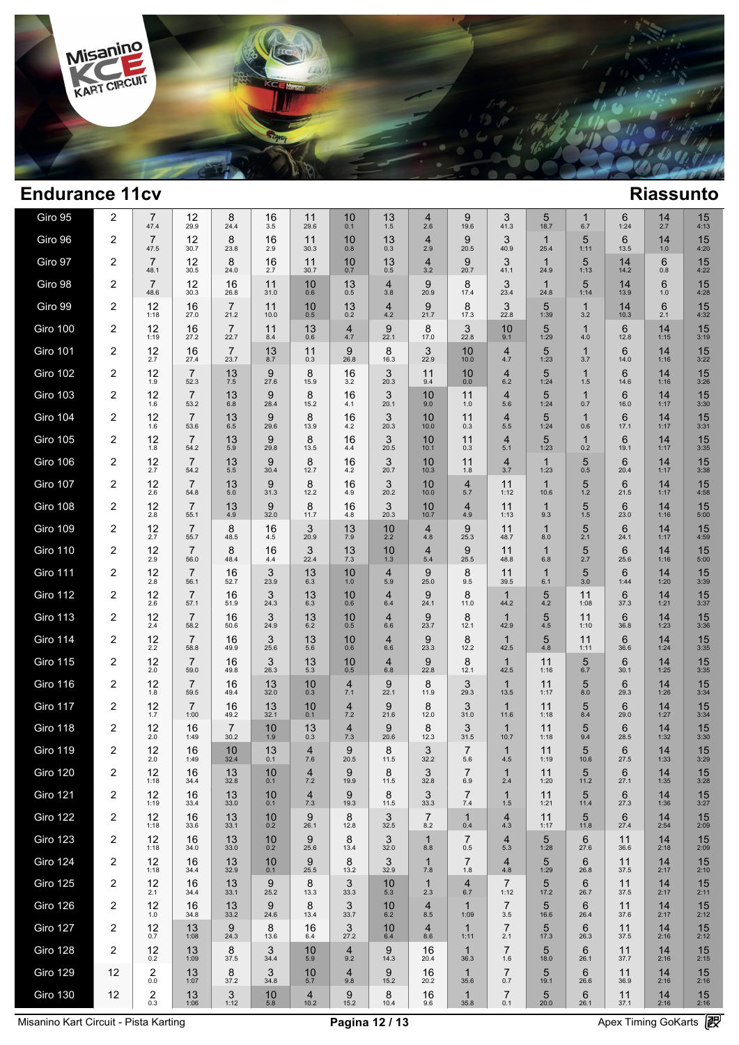

| Giro 95         | 2              | 7<br>47.4                      | 12<br>29.9             | 8<br>24.4              | 16<br>3.5  | 11<br>29.6             | 10<br>0.1             | 13<br>1.5             | $\overline{4}$<br>2.6 | 9<br>19.6             | 3<br>41.3              | 5<br>18.7            | 1<br>6.7            | 6<br>1:24  | 14<br>2.7  | 15<br>4:13           |  |
|-----------------|----------------|--------------------------------|------------------------|------------------------|------------|------------------------|-----------------------|-----------------------|-----------------------|-----------------------|------------------------|----------------------|---------------------|------------|------------|----------------------|--|
| Giro 96         | 2              | $\overline{7}$<br>47.5         | 12<br>30.7             | 8<br>23.8              | 16<br>2.9  | 11<br>30.3             | 10<br>0.8             | 13<br>0.3             | $\overline{4}$<br>2.9 | 9<br>20.5             | 3<br>40.9              | $\mathbf 1$<br>25.4  | 5<br>1:11           | 6<br>13.5  | 14<br>1.0  | 15<br>4:20           |  |
| Giro 97         | 2              | $\overline{7}$<br>48.1         | 12<br>30.5             | 8<br>24.0              | 16<br>2.7  | 11<br>30.7             | 10<br>0.7             | 13<br>0.5             | $\overline{4}$<br>3.2 | 9<br>20.7             | 3<br>41.1              | $\mathbf 1$<br>24.9  | 5<br>1:13           | 14<br>14.2 | 6<br>0.8   | 15<br>4:22           |  |
| Giro 98         | 2              | $\overline{7}$<br>48.6         | 12<br>30.3             | 16<br>26.8             | 11<br>31.0 | 10<br>0.6              | 13<br>0.5             | $\overline{4}$<br>3.8 | 9<br>20.9             | 8<br>17.4             | 3<br>23.4              | $\mathbf{1}$<br>24.8 | 5<br>1:14           | 14<br>13.9 | 6<br>1.0   | 15<br>4:28           |  |
| Giro 99         | 2              | 12<br>1:18                     | 16<br>27.0             | $\overline{7}$<br>21.2 | 11<br>10.0 | 10<br>0.5              | 13<br>0.2             | $\overline{4}$<br>4.2 | 9<br>21.7             | 8<br>17.3             | 3<br>22.8              | 5<br>1:39            | $\mathbf 1$<br>3.2  | 14<br>10.3 | 6<br>2.1   | 15<br>4:32           |  |
| Giro 100        | 2              | 12<br>1:19                     | 16<br>27.2             | $\overline{7}$<br>22.7 | 11<br>8.4  | 13<br>0.6              | $\overline{4}$<br>4.7 | 9<br>22.1             | 8<br>17.0             | 3<br>22.8             | 10<br>9.1              | 5<br>1:29            | $\mathbf{1}$<br>4.0 | 6<br>12.8  | 14<br>1:15 | 15<br>3:19           |  |
| <b>Giro 101</b> | 2              | 12<br>2.7                      | 16<br>27.4             | $\overline{7}$<br>23.7 | 13<br>8.7  | 11<br>0.3              | 9<br>26.8             | 8<br>16.3             | 3<br>22.9             | 10<br>10.0            | $\overline{4}$<br>4.7  | 5<br>1:23            | $\mathbf 1$<br>3.7  | 6<br>14.0  | 14<br>1:16 | 15<br>3:22           |  |
| <b>Giro 102</b> | 2              | 12<br>1.9                      | $\overline{7}$<br>52.3 | 13<br>7.5              | 9<br>27.6  | 8<br>15.9              | 16<br>3.2             | 3<br>20.3             | 11<br>9.4             | 10<br>0.0             | $\overline{4}$<br>6.2  | 5<br>1:24            | $\mathbf{1}$<br>1.5 | 6<br>14.6  | 14<br>1:16 | 15<br>3:26           |  |
| <b>Giro 103</b> | 2              | 12<br>1.6                      | $\overline{7}$<br>53.2 | 13<br>6.8              | 9<br>28.4  | 8<br>15.2              | 16<br>4.1             | 3<br>20.1             | 10<br>9.0             | 11<br>1.0             | $\overline{4}$<br>5.6  | 5<br>1:24            | $\mathbf 1$<br>0.7  | 6<br>16.0  | 14<br>1:17 | 15<br>3:30           |  |
| <b>Giro 104</b> | 2              | 12<br>1.6                      | $\overline{7}$<br>53.6 | 13<br>6.5              | 9<br>29.6  | 8<br>13.9              | 16<br>4.2             | 3<br>20.3             | 10<br>10.0            | 11<br>0.3             | $\overline{4}$<br>5.5  | 5<br>1:24            | $\mathbf 1$<br>0.6  | 6<br>17.1  | 14<br>1:17 | 15<br>3:31           |  |
| <b>Giro 105</b> | 2              | 12<br>1.8                      | $\overline{7}$<br>54.2 | 13<br>5.9              | 9<br>29.8  | 8<br>13.5              | 16<br>4.4             | 3<br>20.5             | 10<br>10.1            | 11<br>0.3             | $\overline{4}$<br>5.1  | 5<br>1:23            | 1<br>0.2            | 6<br>19.1  | 14<br>1:17 | 15<br>3:35           |  |
| Giro 106        | 2              | 12<br>2.7                      | $\overline{7}$<br>54.2 | 13<br>5.5              | 9<br>30.4  | 8<br>12.7              | 16<br>4.2             | 3<br>20.7             | 10<br>10.3            | 11<br>1.8             | $\overline{4}$<br>3.7  | $\mathbf{1}$<br>1:23 | 5<br>0.5            | 6<br>20.4  | 14<br>1:17 | 15<br>3:38           |  |
| <b>Giro 107</b> | 2              | 12<br>2.6                      | $\overline{7}$<br>54.8 | 13<br>5.0              | 9<br>31.3  | 8<br>12.2              | 16<br>4.9             | 3<br>20.2             | 10<br>10.0            | $\overline{4}$<br>5.7 | 11<br>1:12             | $\mathbf 1$<br>10.6  | 5<br>1.2            | 6<br>21.5  | 14<br>1:17 | 15<br>4:58           |  |
| <b>Giro 108</b> | 2              | 12<br>2.8                      | $\overline{7}$<br>55.1 | 13<br>4.9              | 9<br>32.0  | 8<br>11.7              | 16<br>4.8             | 3<br>20.3             | 10<br>10.7            | $\overline{4}$<br>4.9 | 11<br>1:13             | $\mathbf{1}$<br>9.3  | 5<br>1.5            | 6<br>23.0  | 14<br>1:16 | 15<br>5:00           |  |
| <b>Giro 109</b> | 2              | 12<br>2.7                      | $\overline{7}$<br>55.7 | 8<br>48.5              | 16<br>4.5  | 3<br>20.9              | 13<br>7.9             | 10<br>2.2             | $\overline{4}$<br>4.8 | 9<br>25.3             | 11<br>48.7             | 1<br>8.0             | 5<br>2.1            | 6<br>24.1  | 14<br>1:17 | 15<br>4:59           |  |
| <b>Giro 110</b> | $\overline{2}$ | 12<br>2.9                      | $\overline{7}$<br>56.0 | 8<br>48.4              | 16<br>4.4  | 3<br>22.4              | 13<br>7.3             | 10<br>1.3             | $\overline{4}$<br>5.4 | 9<br>25.5             | 11<br>48.8             | 1<br>6.8             | 5<br>2.7            | 6<br>25.6  | 14<br>1:16 | 15<br>5:00           |  |
| <b>Giro 111</b> | 2              | 12<br>2.8                      | $\overline{7}$<br>56.1 | 16<br>52.7             | 3<br>23.9  | 13<br>6.3              | 10<br>1.0             | $\overline{4}$<br>5.9 | 9<br>25.0             | 8<br>9.5              | 11<br>39.5             | 1<br>6.1             | 5<br>3.0            | 6<br>1:44  | 14<br>1:20 | 15<br>3:39           |  |
| <b>Giro 112</b> | 2              | 12<br>2.6                      | $\overline{7}$<br>57.1 | 16<br>51.9             | 3<br>24.3  | 13<br>6.3              | 10<br>0.6             | $\overline{4}$<br>6.4 | 9<br>24.1             | 8<br>11.0             | 1<br>44.2              | 5<br>4.2             | 11<br>1:08          | 6<br>37.3  | 14<br>1:21 | 15<br>3:37           |  |
| <b>Giro 113</b> | 2              | 12<br>2.4                      | $\overline{7}$<br>58.2 | 16<br>50.6             | 3<br>24.9  | 13<br>6.2              | 10<br>0.5             | $\overline{4}$<br>6.6 | 9<br>23.7             | 8<br>12.1             | $\mathbf 1$<br>42.9    | 5<br>4.5             | 11<br>1:10          | 6<br>36.8  | 14<br>1:23 | 15<br>3:36           |  |
| <b>Giro 114</b> | 2              | 12<br>2.2                      | $\overline{7}$<br>58.8 | 16<br>49.9             | 3<br>25.6  | 13<br>5.6              | 10<br>0.6             | $\overline{4}$<br>6.6 | 9<br>23.3             | 8<br>12.2             | $\mathbf{1}$<br>42.5   | 5<br>4.8             | 11<br>1:11          | 6<br>36.6  | 14<br>1:24 | 15<br>3:35           |  |
| <b>Giro 115</b> | 2              | 12<br>2.0                      | $\overline{7}$<br>59.0 | 16<br>49.8             | 3<br>26.3  | 13<br>5.3              | 10<br>0.5             | 4<br>6.8              | 9<br>22.8             | 8<br>12.1             | $\mathbf 1$<br>42.5    | 11<br>1:16           | 5<br>6.7            | 6<br>30.1  | 14<br>1:25 | 15<br>3:35           |  |
| <b>Giro 116</b> | 2              | 12<br>1.8                      | 7<br>59.5              | 16<br>49.4             | 13<br>32.0 | 10<br>0.3              | $\overline{4}$<br>7.1 | 9<br>22.1             | 8<br>11.9             | 3<br>29.3             | $\mathbf{1}$<br>13.5   | 11<br>1:17           | 5<br>8.0            | 6<br>29.3  | 14<br>1:26 | 15<br>3:34           |  |
| <b>Giro 117</b> | 2              | 12<br>1.7                      | $\overline{7}$<br>1:00 | 16<br>49.2             | 13<br>32.1 | 10<br>0.1              | $\overline{4}$<br>7.2 | 9<br>21.6             | 8<br>12.0             | 3<br>31.0             | $\mathbf 1$<br>11.6    | 11<br>1:18           | 5<br>8.4            | 6<br>29.0  | 14<br>1:27 | 15<br>3:34           |  |
| <b>Giro 118</b> | 2              | 12<br>2.0                      | 16<br>1:49             | $\overline{7}$<br>30.2 | 10<br>1.9  | 13<br>0.3              | $\overline{4}$<br>7.3 | 9<br>20.6             | 8<br>12.3             | 3<br>31.5             | $\mathbf 1$<br>10.7    | 11<br>1:18           | 5<br>9.4            | 6<br>28.5  | 14<br>1:32 | 15<br>3:30           |  |
| <b>Giro 119</b> | 2              | 12<br>2.0                      | 16<br>1:49             | 10<br>32.4             | 13<br>0.1  | $\overline{4}$<br>7.6  | 9<br>20.5             | 8<br>11.5             | 3<br>32.2             | $\overline{7}$<br>5.6 | $\mathbf{1}$<br>4.5    | 11<br>1:19           | 5<br>10.6           | 6<br>27.5  | 14<br>1:33 | 15<br>3:29           |  |
| <b>Giro 120</b> | 2              | 12<br>1:18                     | 16<br>34.4             | 13<br>32.8             | 10<br>0.1  | 4<br>7.2               | 9<br>19.9             | 8<br>11.5             | 3<br>32.8             | 6.9                   | 2.4                    | 11<br>1:20           | 5<br>11.2           | 6<br>27.1  | 14<br>1:35 | 15<br>3:28           |  |
| <b>Giro 121</b> | 2              | 12<br>1:19                     | 16<br>33.4             | 13<br>33.0             | 10<br>0.1  | $\overline{4}$<br>7.3  | 9<br>19.3             | 8<br>11.5             | 3<br>33.3             | $\overline{7}$<br>7.4 | $\mathbf{1}$<br>1.5    | 11<br>1:21           | 5<br>11.4           | 6<br>27.3  | 14<br>1:36 | $15$ <sub>3:27</sub> |  |
| <b>Giro 122</b> | 2              | 12<br>1:18                     | 16<br>33.6             | 13<br>33.1             | 10<br>0.2  | 9<br>26.1              | 8<br>12.8             | 3<br>32.5             | $\overline{7}$<br>8.2 | $\mathbf{1}$<br>0.4   | $\overline{4}$<br>4.3  | 11<br>1:17           | 5<br>11.8           | 6<br>27.4  | 14<br>2:54 | 15<br>2:09           |  |
| <b>Giro 123</b> | 2              | 12<br>1:18                     | 16<br>34.0             | 13<br>33.0             | 10<br>0.2  | 9<br>25.6              | 8<br>13.4             | 3<br>32.0             | $\mathbf{1}$<br>8.8   | $\overline{7}$<br>0.5 | 4<br>5.3               | 5<br>1:28            | 6<br>27.6           | 11<br>36.6 | 14<br>2:18 | 15<br>2:09           |  |
| <b>Giro 124</b> | 2              | 12<br>1:18                     | 16<br>34.4             | 13<br>32.9             | 10<br>0.1  | 9<br>25.5              | 8<br>13.2             | 3<br>32.9             | $\mathbf{1}$<br>7.8   | $\overline{7}$<br>1.8 | 4<br>4.8               | 5<br>1:29            | 6<br>26.8           | 11<br>37.5 | 14<br>2:17 | 15<br>2:10           |  |
| <b>Giro 125</b> | 2              | 12<br>2.1                      | 16<br>34.4             | 13<br>33.1             | 9<br>25.2  | 8<br>13.3              | 3<br>33.3             | 10<br>5.3             | $\mathbf 1$<br>2.3    | $\overline{4}$<br>6.7 | $\overline{7}$<br>1:12 | 5<br>17.2            | 6<br>26.7           | 11<br>37.5 | 14<br>2:17 | 15<br>2:11           |  |
| <b>Giro 126</b> | 2              | 12<br>1.0                      | 16<br>34.8             | 13<br>33.2             | 9<br>24.6  | 8<br>13.4              | 3<br>33.7             | 10<br>6.2             | $\overline{4}$<br>8.5 | $\mathbf{1}$<br>1:09  | $\overline{7}$<br>3.5  | 5<br>16.6            | 6<br>26.4           | 11<br>37.6 | 14<br>2:17 | 15<br>2:12           |  |
| Giro 127        | 2              | 12<br>0.7                      | 13<br>1:08             | 9<br>24.3              | 8<br>13.6  | 16<br>6.4              | 3<br>27.2             | 10<br>$6.4\,$         | $\overline{4}$<br>8.6 | $\mathbf{1}$<br>1:11  | $\overline{7}$<br>2.1  | 5<br>17.3            | 6<br>26.3           | 11<br>37.5 | 14<br>2:16 | 15<br>2:12           |  |
| Giro 128        | 2              | 12<br>0.2                      | 13<br>1:09             | 8<br>37.5              | 3<br>34.4  | 10<br>5.9              | $\overline{4}$<br>9.2 | 9<br>14.3             | 16<br>20.4            | $\mathbf{1}$<br>36.3  | $\overline{7}$<br>1.6  | 5<br>18.0            | 6<br>26.1           | 11<br>37.7 | 14<br>2:16 | 15<br>2:15           |  |
| <b>Giro 129</b> | 12             | $\overline{\mathbf{c}}$<br>0.0 | 13<br>1:07             | 8<br>37.2              | 3<br>34.8  | 10<br>5.7              | $\overline{4}$<br>9.8 | 9<br>15.2             | 16<br>20.2            | $\mathbf{1}$<br>35.6  | $\overline{7}$<br>0.7  | 5<br>19.1            | 6<br>26.6           | 11<br>36.9 | 14<br>2:16 | 15<br>2:16           |  |
| <b>Giro 130</b> | 12             | 2<br>0.3                       | 13<br>1:06             | 3<br>1:12              | 10<br>5.8  | $\overline{4}$<br>10.2 | 9<br>15.2             | 8<br>10.4             | 16<br>9.6             | $\mathbf{1}$<br>35.8  | $\overline{7}$<br>0.1  | 5<br>20.0            | 6<br>26.1           | 11<br>37.1 | 14<br>2:16 | 15<br>2:16           |  |